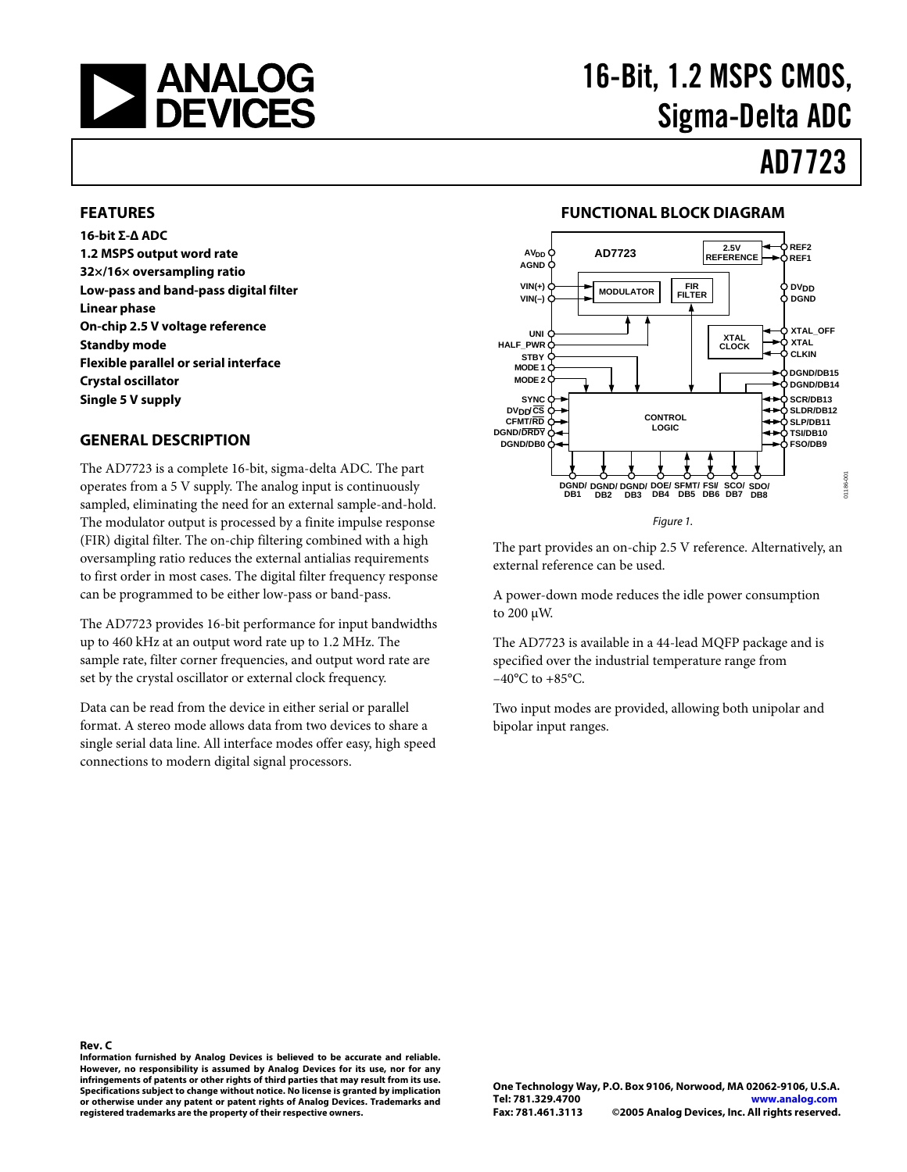

# 16-Bit, 1.2 MSPS CMOS, Sigma-Delta ADC

# AD7723

#### **FEATURES**

**16-bit Σ-∆ ADC 1.2 MSPS output word rate 32×/16× oversampling ratio Low-pass and band-pass digital filter Linear phase On-chip 2.5 V voltage reference Standby mode Flexible parallel or serial interface Crystal oscillator Single 5 V supply** 

#### **GENERAL DESCRIPTION**

The AD7723 is a complete 16-bit, sigma-delta ADC. The part operates from a 5 V supply. The analog input is continuously sampled, eliminating the need for an external sample-and-hold. The modulator output is processed by a finite impulse response (FIR) digital filter. The on-chip filtering combined with a high oversampling ratio reduces the external antialias requirements to first order in most cases. The digital filter frequency response can be programmed to be either low-pass or band-pass.

The AD7723 provides 16-bit performance for input bandwidths up to 460 kHz at an output word rate up to 1.2 MHz. The sample rate, filter corner frequencies, and output word rate are set by the crystal oscillator or external clock frequency.

Data can be read from the device in either serial or parallel format. A stereo mode allows data from two devices to share a single serial data line. All interface modes offer easy, high speed connections to modern digital signal processors.

#### **FUNCTIONAL BLOCK DIAGRAM**



The part provides an on-chip 2.5 V reference. Alternatively, an external reference can be used.

A power-down mode reduces the idle power consumption to 200 µW.

The AD7723 is available in a 44-lead MQFP package and is specified over the industrial temperature range from  $-40^{\circ}$ C to  $+85^{\circ}$ C.

Two input modes are provided, allowing both unipolar and bipolar input ranges.

**Rev. C Information furnished by Analog Devices is believed to be accurate and reliable. However, no responsibility is assumed by Analog Devices for its use, nor for any infringements of patents or other rights of third parties that may result from its use. Specifications subject to change without notice. No license is granted by implication or otherwise under any patent or patent rights of Analog Devices. Trademarks and registered trademarks are the property of their respective owners.**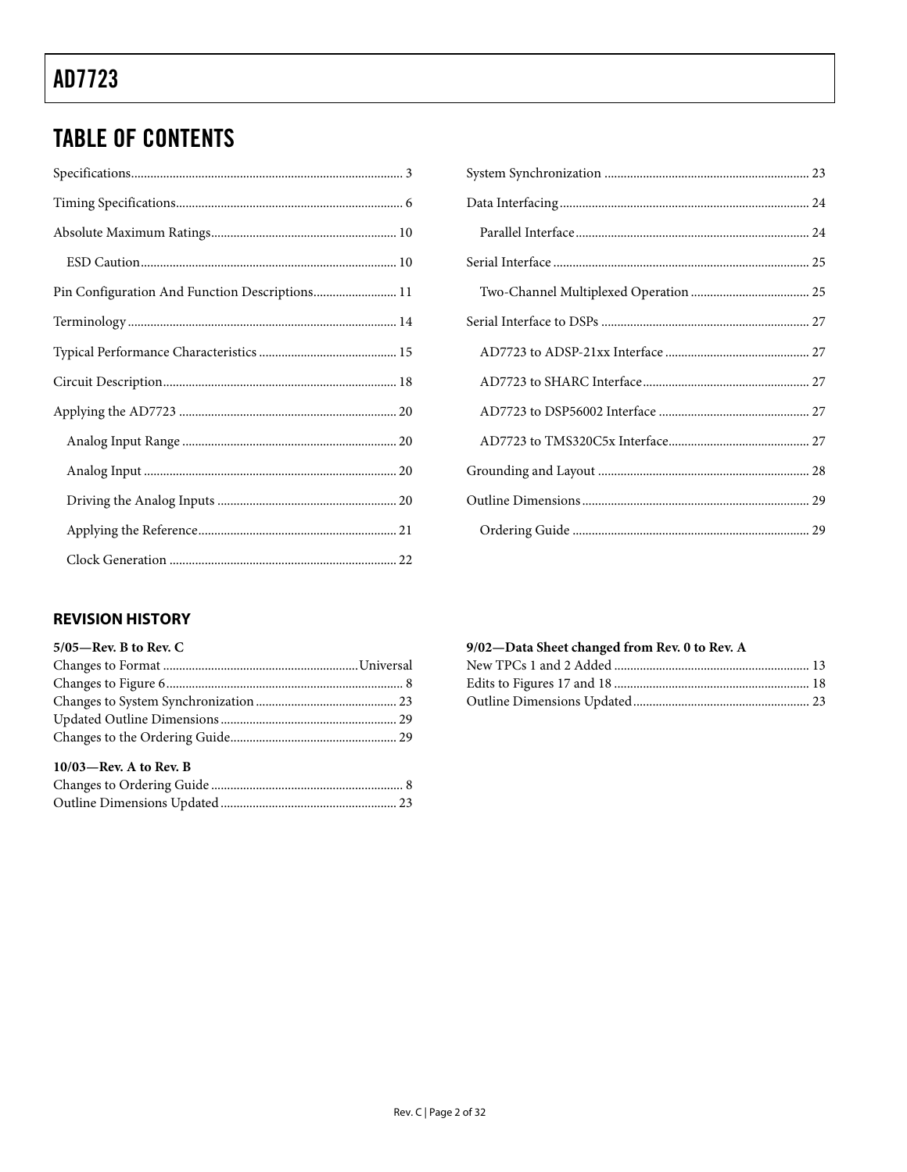## **TABLE OF CONTENTS**

| Pin Configuration And Function Descriptions 11 |
|------------------------------------------------|
|                                                |
|                                                |
|                                                |
|                                                |
|                                                |
|                                                |
|                                                |
|                                                |
|                                                |

#### **REVISION HISTORY**

| $5/05$ —Rev. B to Rev. C  |  |
|---------------------------|--|
|                           |  |
|                           |  |
|                           |  |
|                           |  |
|                           |  |
| $10/03$ —Rev. A to Rev. B |  |
|                           |  |
|                           |  |

#### 9/02-Data Sheet changed from Rev. 0 to Rev. A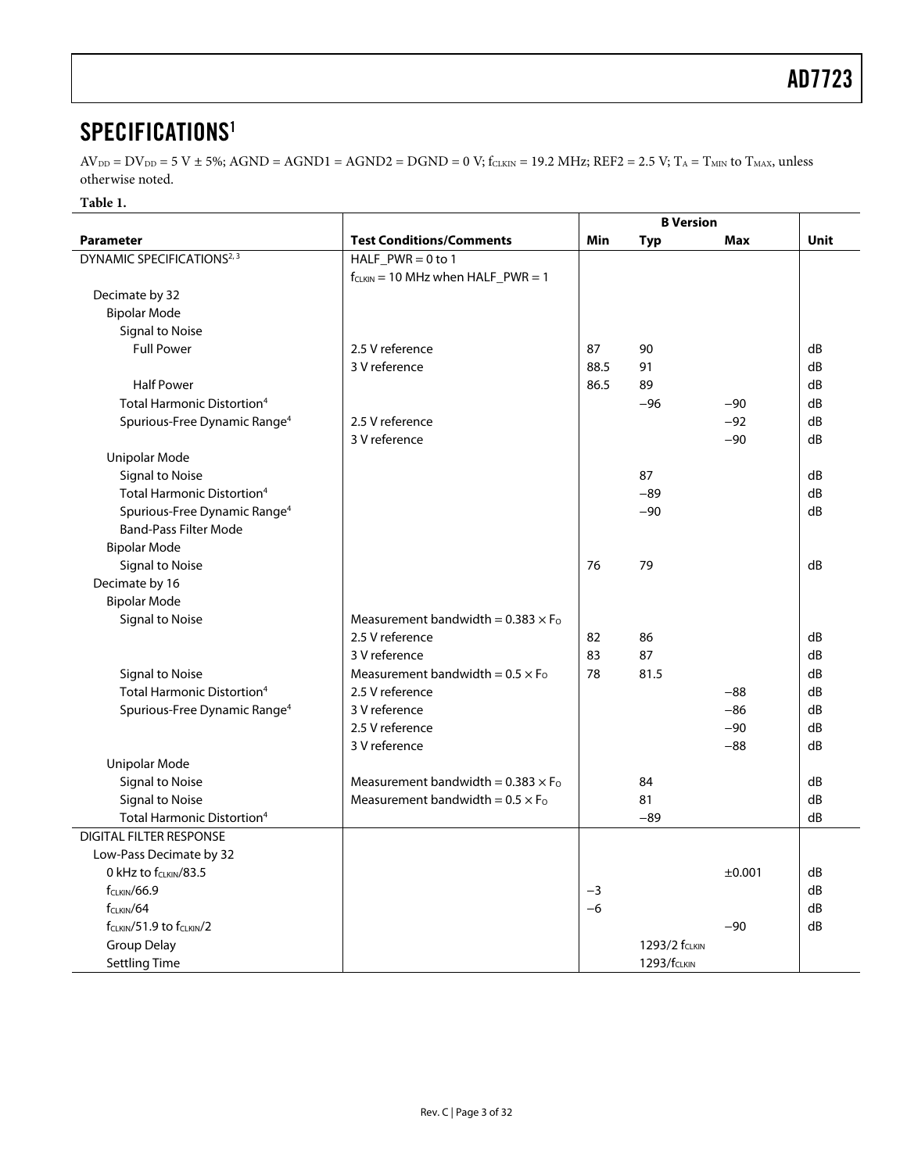### <span id="page-2-0"></span>SPECIFICATIONS<sup>[1](#page-4-1)</sup>

 $AV_{DD} = DV_{DD} = 5 V \pm 5\%$ ; AGND = AGND1 = AGND2 = DGND = 0 V; f<sub>CLKIN</sub> = 19.2 MHz; REF2 = 2.5 V; T<sub>A</sub> = T<sub>MIN</sub> to T<sub>MAX</sub>, unless otherwise noted.

#### **Table 1.**

|                                                   |                                            | <b>B</b> Version |                         |        |             |
|---------------------------------------------------|--------------------------------------------|------------------|-------------------------|--------|-------------|
| <b>Parameter</b>                                  | <b>Test Conditions/Comments</b>            | Min              | <b>Typ</b>              | Max    | <b>Unit</b> |
| DYNAMIC SPECIFICATIONS <sup>2, 3</sup>            | $HALF_PWR = 0 to 1$                        |                  |                         |        |             |
|                                                   | $f_{CLKIN} = 10$ MHz when $HALF_PWR = 1$   |                  |                         |        |             |
| Decimate by 32                                    |                                            |                  |                         |        |             |
| <b>Bipolar Mode</b>                               |                                            |                  |                         |        |             |
| Signal to Noise                                   |                                            |                  |                         |        |             |
| <b>Full Power</b>                                 | 2.5 V reference                            | 87               | 90                      |        | dB          |
|                                                   | 3 V reference                              | 88.5             | 91                      |        | dB          |
| <b>Half Power</b>                                 |                                            | 86.5             | 89                      |        | dB          |
| <b>Total Harmonic Distortion<sup>4</sup></b>      |                                            |                  | $-96$                   | $-90$  | dB          |
| Spurious-Free Dynamic Range <sup>4</sup>          | 2.5 V reference                            |                  |                         | $-92$  | dB          |
|                                                   | 3 V reference                              |                  |                         | $-90$  | dB          |
| Unipolar Mode                                     |                                            |                  |                         |        |             |
| <b>Signal to Noise</b>                            |                                            |                  | 87                      |        | dB          |
| Total Harmonic Distortion <sup>4</sup>            |                                            |                  | $-89$                   |        | dB          |
| Spurious-Free Dynamic Range <sup>4</sup>          |                                            |                  | $-90$                   |        | dB          |
| <b>Band-Pass Filter Mode</b>                      |                                            |                  |                         |        |             |
| <b>Bipolar Mode</b>                               |                                            |                  |                         |        |             |
| <b>Signal to Noise</b>                            |                                            | 76               | 79                      |        | dB          |
| Decimate by 16                                    |                                            |                  |                         |        |             |
| <b>Bipolar Mode</b>                               |                                            |                  |                         |        |             |
| Signal to Noise                                   | Measurement bandwidth = $0.383 \times F_0$ |                  |                         |        |             |
|                                                   | 2.5 V reference                            | 82               | 86                      |        | dB          |
|                                                   | 3 V reference                              | 83               | 87                      |        | dB          |
| <b>Signal to Noise</b>                            | Measurement bandwidth = $0.5 \times F_0$   | 78               | 81.5                    |        | dB          |
| Total Harmonic Distortion <sup>4</sup>            | 2.5 V reference                            |                  |                         | $-88$  | dB          |
| Spurious-Free Dynamic Range <sup>4</sup>          | 3 V reference                              |                  |                         | $-86$  | dB          |
|                                                   | 2.5 V reference                            |                  |                         | $-90$  | dB          |
|                                                   | 3 V reference                              |                  |                         | $-88$  | dB          |
| Unipolar Mode                                     |                                            |                  |                         |        |             |
| <b>Signal to Noise</b>                            | Measurement bandwidth = $0.383 \times F_0$ |                  | 84                      |        | dB          |
| <b>Signal to Noise</b>                            | Measurement bandwidth = $0.5 \times F_0$   |                  | 81                      |        | dB          |
| Total Harmonic Distortion <sup>4</sup>            |                                            |                  | $-89$                   |        | dB          |
| <b>DIGITAL FILTER RESPONSE</b>                    |                                            |                  |                         |        |             |
| Low-Pass Decimate by 32                           |                                            |                  |                         |        |             |
| 0 kHz to f <sub>CLKIN</sub> /83.5                 |                                            |                  |                         | ±0.001 | dB          |
| $f_{CLKIN}/66.9$                                  |                                            | $-3$             |                         |        | dB          |
| $f_{C L KIN}/64$                                  |                                            | $-6$             |                         |        | dB          |
| f <sub>CLKIN</sub> /51.9 to f <sub>CLKIN</sub> /2 |                                            |                  |                         | $-90$  | dB          |
| <b>Group Delay</b>                                |                                            |                  | 1293/2 fCLKIN           |        |             |
| <b>Settling Time</b>                              |                                            |                  | 1293/f <sub>CLKIN</sub> |        |             |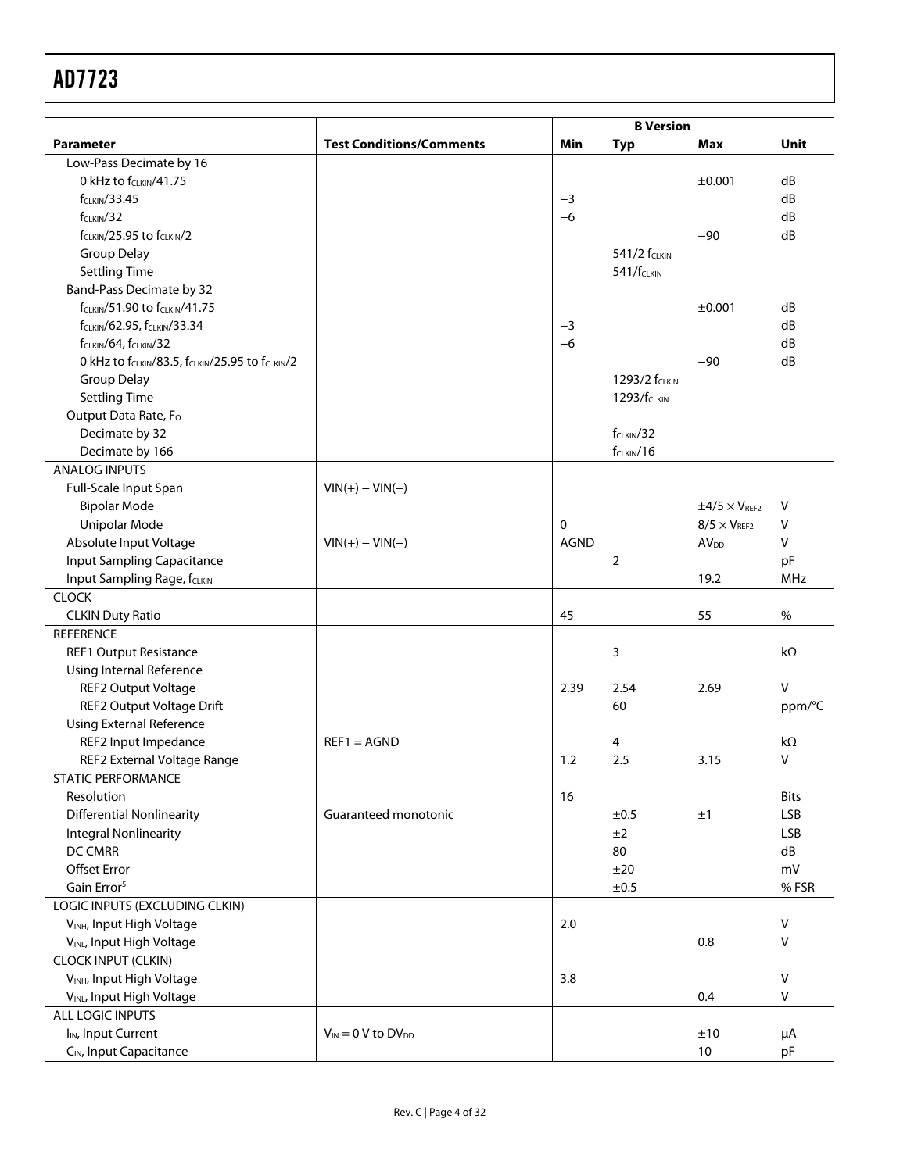|                                                        |                                 |             | <b>B</b> Version          |                           |             |
|--------------------------------------------------------|---------------------------------|-------------|---------------------------|---------------------------|-------------|
| <b>Parameter</b>                                       | <b>Test Conditions/Comments</b> | Min         | <b>Typ</b>                | Max                       | Unit        |
| Low-Pass Decimate by 16                                |                                 |             |                           |                           |             |
| 0 kHz to f <sub>CLKIN</sub> /41.75                     |                                 |             |                           | ±0.001                    | dB          |
| $f_{CLKIN}/33.45$                                      |                                 | $-3$        |                           |                           | dB          |
| $f_{CLKIN}/32$                                         |                                 | $-6$        |                           |                           | dB          |
| $f_{CLKIN}/25.95$ to $f_{CLKIN}/2$                     |                                 |             |                           | $-90$                     | dB          |
| <b>Group Delay</b>                                     |                                 |             | 541/2 f <sub>CLKIN</sub>  |                           |             |
| <b>Settling Time</b>                                   |                                 |             | 541/f <sub>CLKIN</sub>    |                           |             |
| <b>Band-Pass Decimate by 32</b>                        |                                 |             |                           |                           |             |
| f <sub>CLKIN</sub> /51.90 to f <sub>CLKIN</sub> /41.75 |                                 |             |                           | ±0.001                    | dB          |
| f <sub>CLKIN</sub> /62.95, f <sub>CLKIN</sub> /33.34   |                                 | $-3$        |                           |                           | dB          |
| f <sub>CLKIN</sub> /64, f <sub>CLKIN</sub> /32         |                                 | $-6$        |                           |                           | dB          |
| 0 kHz to fCLKIN/83.5, fCLKIN/25.95 to fCLKIN/2         |                                 |             |                           | $-90$                     | dB          |
| <b>Group Delay</b>                                     |                                 |             | 1293/2 f <sub>CLKIN</sub> |                           |             |
| <b>Settling Time</b>                                   |                                 |             | 1293/f <sub>CLKIN</sub>   |                           |             |
| Output Data Rate, Fo                                   |                                 |             |                           |                           |             |
| Decimate by 32                                         |                                 |             | $f_{CLKIN}/32$            |                           |             |
| Decimate by 166                                        |                                 |             | $f_{CLKIN}/16$            |                           |             |
| <b>ANALOG INPUTS</b>                                   |                                 |             |                           |                           |             |
| Full-Scale Input Span                                  | $VIN(+) - VIN(-)$               |             |                           |                           |             |
| <b>Bipolar Mode</b>                                    |                                 |             |                           | $\pm 4/5 \times V_{REF2}$ | v           |
| <b>Unipolar Mode</b>                                   |                                 | $\mathbf 0$ |                           | $8/5 \times V_{REF2}$     | ٧           |
| Absolute Input Voltage                                 | $VIN(+) - VIN(-)$               | <b>AGND</b> |                           | <b>AV<sub>DD</sub></b>    | v           |
| Input Sampling Capacitance                             |                                 |             | 2                         |                           | pF          |
| Input Sampling Rage, fCLKIN                            |                                 |             |                           | 19.2                      | MHz         |
| <b>CLOCK</b>                                           |                                 |             |                           |                           |             |
| <b>CLKIN Duty Ratio</b>                                |                                 | 45          |                           | 55                        | $\%$        |
| <b>REFERENCE</b>                                       |                                 |             |                           |                           |             |
| <b>REF1 Output Resistance</b>                          |                                 |             | 3                         |                           | $k\Omega$   |
| <b>Using Internal Reference</b>                        |                                 |             |                           |                           |             |
| REF2 Output Voltage                                    |                                 | 2.39        | 2.54                      | 2.69                      | $\vee$      |
| REF2 Output Voltage Drift                              |                                 |             | 60                        |                           | ppm/°C      |
| <b>Using External Reference</b>                        |                                 |             |                           |                           |             |
| REF2 Input Impedance                                   | $REF1 = AGND$                   |             | 4                         |                           | $k\Omega$   |
| REF2 External Voltage Range                            |                                 | 1.2         | 2.5                       | 3.15                      | V           |
| <b>STATIC PERFORMANCE</b>                              |                                 |             |                           |                           |             |
| Resolution                                             |                                 | 16          |                           |                           | <b>Bits</b> |
| <b>Differential Nonlinearity</b>                       | Guaranteed monotonic            |             | ±0.5                      | ±1                        | <b>LSB</b>  |
| <b>Integral Nonlinearity</b>                           |                                 |             | ±2                        |                           | <b>LSB</b>  |
| DC CMRR                                                |                                 |             | 80                        |                           | dB          |
| <b>Offset Error</b>                                    |                                 |             | ±20                       |                           | mV          |
| Gain Error <sup>5</sup>                                |                                 |             | ±0.5                      |                           | %FSR        |
| LOGIC INPUTS (EXCLUDING CLKIN)                         |                                 |             |                           |                           |             |
| VINH, Input High Voltage                               |                                 | 2.0         |                           |                           | V           |
| VINL, Input High Voltage                               |                                 |             |                           | 0.8                       | V           |
| <b>CLOCK INPUT (CLKIN)</b>                             |                                 |             |                           |                           |             |
| VINH, Input High Voltage                               |                                 | 3.8         |                           |                           | $\vee$      |
| VINL, Input High Voltage                               |                                 |             |                           | 0.4                       | V           |
| ALL LOGIC INPUTS                                       |                                 |             |                           |                           |             |
| I <sub>IN</sub> , Input Current                        | $V_{IN} = 0$ V to $DV_{DD}$     |             |                           | ±10                       |             |
| CIN, Input Capacitance                                 |                                 |             |                           | 10                        | μA<br>pF    |
|                                                        |                                 |             |                           |                           |             |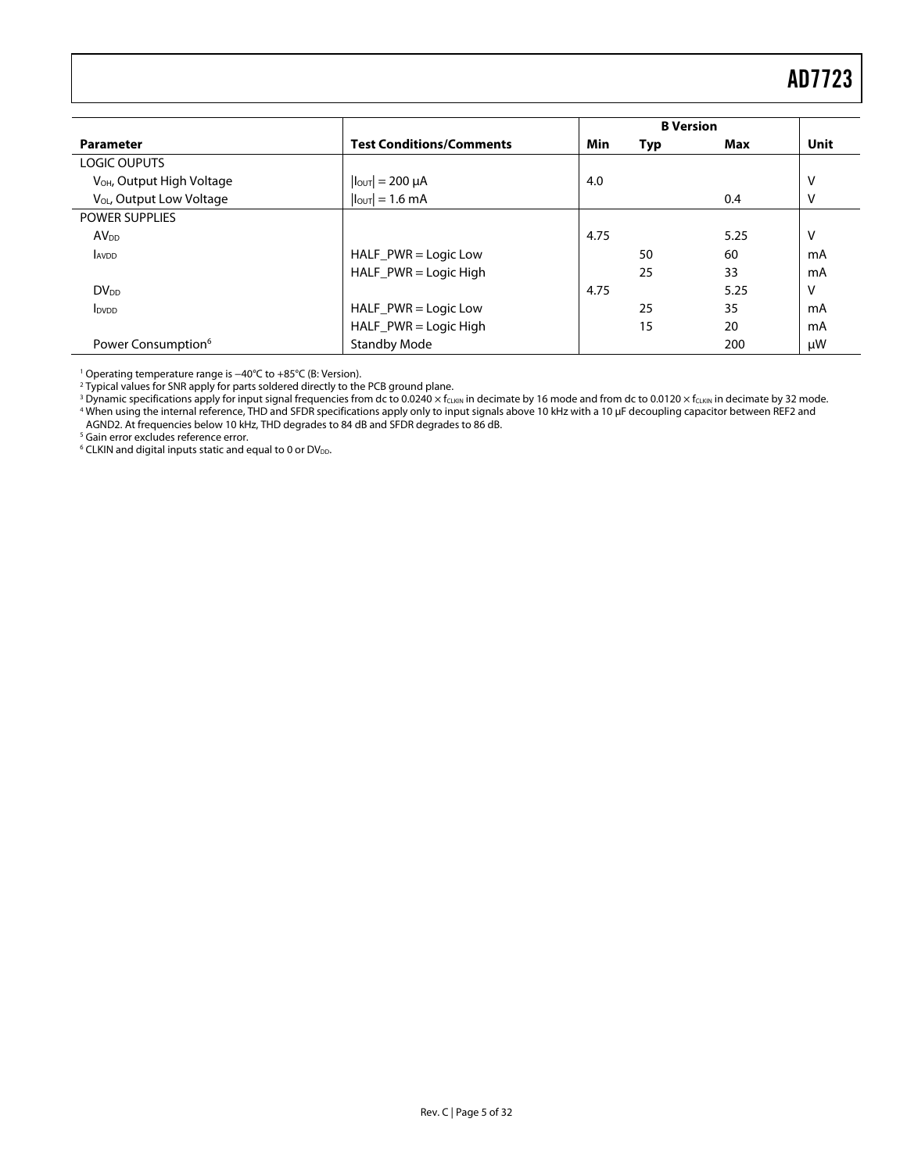<span id="page-4-0"></span>

|                                       |                                 |      | <b>B</b> Version |      |      |
|---------------------------------------|---------------------------------|------|------------------|------|------|
| <b>Parameter</b>                      | <b>Test Conditions/Comments</b> | Min  | Typ              | Max  | Unit |
| <b>LOGIC OUPUTS</b>                   |                                 |      |                  |      |      |
| V <sub>OH</sub> , Output High Voltage | $ I_{\text{OUT}}  = 200 \mu A$  | 4.0  |                  |      | ٧    |
| V <sub>OL</sub> , Output Low Voltage  | $ I_{\text{OUT}}  = 1.6$ mA     |      |                  | 0.4  | ٧    |
| <b>POWER SUPPLIES</b>                 |                                 |      |                  |      |      |
| <b>AV<sub>DD</sub></b>                |                                 | 4.75 |                  | 5.25 | v    |
| <b>AVDD</b>                           | $HALF_PWR = Logic Low$          |      | 50               | 60   | mA   |
|                                       | $HALF_PWR = Logic High$         |      | 25               | 33   | mA   |
| <b>DV<sub>DD</sub></b>                |                                 | 4.75 |                  | 5.25 | v    |
| <b>I</b> <sub>DVDD</sub>              | $HALF_PWR = Logic Low$          |      | 25               | 35   | mA   |
|                                       | $HALF_PWR = Logic High$         |      | 15               | 20   | mA   |
| Power Consumption <sup>6</sup>        | <b>Standby Mode</b>             |      |                  | 200  | μW   |

<span id="page-4-4"></span><span id="page-4-3"></span><span id="page-4-2"></span>

<span id="page-4-1"></span>' Operating temperature range is −40℃ to +85℃ (B: Version).<br><sup>2</sup> Typical values for SNR apply for parts soldered directly to the PCB ground plane.<br><sup>3</sup> Dynamic specifications apply for input signal frequencies from dc to 0 AGND2. At frequencies below 10 kHz, THD degrades to 84 dB and SFDR degrades to 86 dB. 5 Gain error excludes reference error.

<span id="page-4-5"></span>

 $6$  CLKIN and digital inputs static and equal to 0 or DV<sub>DD</sub>.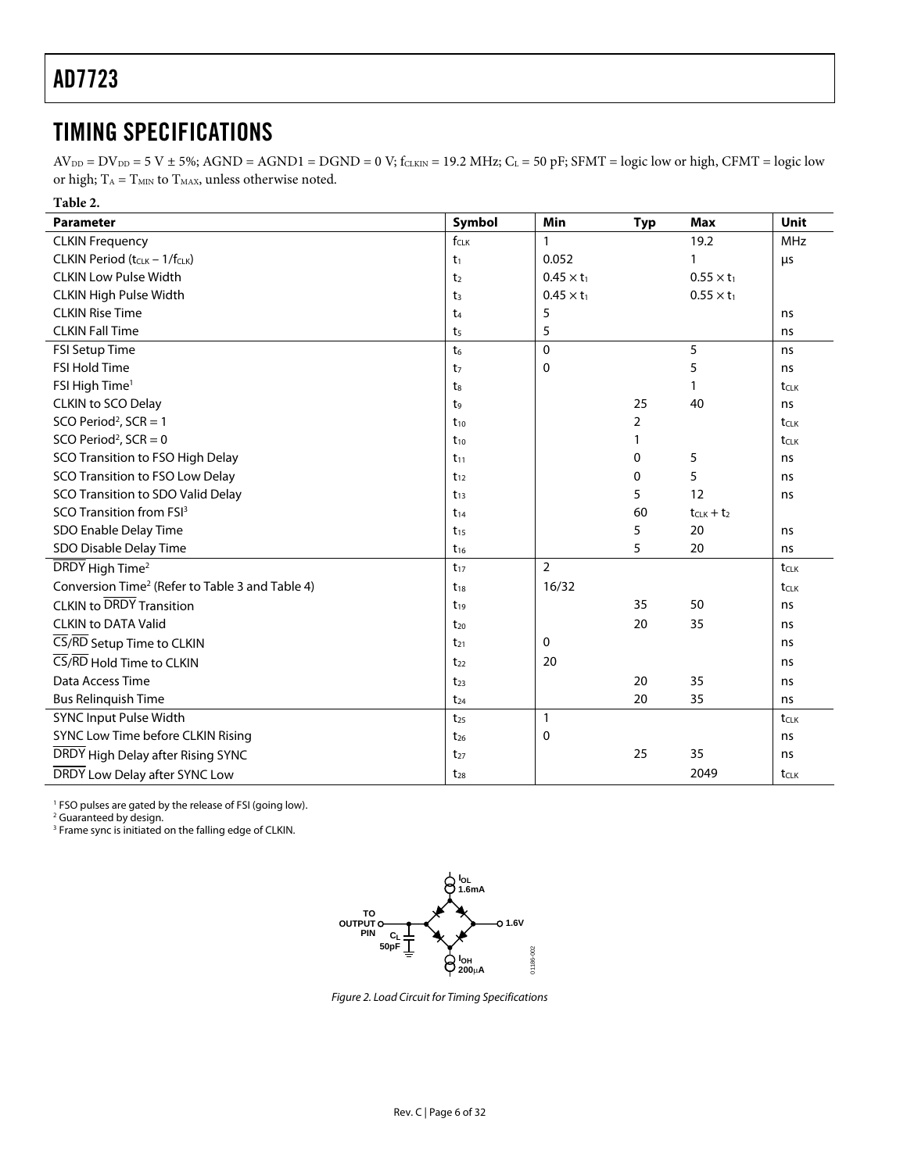### <span id="page-5-0"></span>TIMING SPECIFICATIONS

 $AV_{DD} = DV_{DD} = 5 V \pm 5\%$ ; AGND = AGND1 = DGND = 0 V; fcLKIN = 19.2 MHz; CL = 50 pF; SFMT = logic low or high, CFMT = logic low or high;  $T_A = T_{MIN}$  to  $T_{MAX}$ , unless otherwise noted.

**Table 2.** 

<span id="page-5-1"></span>

| <b>Parameter</b>                                            | Symbol         | Min               | <b>Typ</b> | <b>Max</b>        | Unit             |
|-------------------------------------------------------------|----------------|-------------------|------------|-------------------|------------------|
| <b>CLKIN Frequency</b>                                      | $f_{CLK}$      | $\mathbf{1}$      |            | 19.2              | <b>MHz</b>       |
| CLKIN Period (tcLK - 1/fcLK)                                | $t_1$          | 0.052             |            | 1                 | μs               |
| <b>CLKIN Low Pulse Width</b>                                | t <sub>2</sub> | $0.45 \times t_1$ |            | $0.55 \times t_1$ |                  |
| <b>CLKIN High Pulse Width</b>                               | t <sub>3</sub> | $0.45 \times t_1$ |            | $0.55 \times t_1$ |                  |
| <b>CLKIN Rise Time</b>                                      | $t_4$          | 5                 |            |                   | ns               |
| <b>CLKIN Fall Time</b>                                      | t <sub>5</sub> | 5                 |            |                   | ns               |
| FSI Setup Time                                              | t <sub>6</sub> | $\mathbf{0}$      |            | 5                 | ns               |
| <b>FSI Hold Time</b>                                        | t <sub>7</sub> | $\mathbf 0$       |            | 5                 | ns               |
| FSI High Time <sup>1</sup>                                  | t <sub>8</sub> |                   |            | 1                 | tclk             |
| CLKIN to SCO Delay                                          | t,             |                   | 25         | 40                | ns               |
| SCO Period <sup>2</sup> , SCR = 1                           | $t_{10}$       |                   | 2          |                   | t <sub>CLK</sub> |
| SCO Period <sup>2</sup> , SCR = $0$                         | $t_{10}$       |                   | 1          |                   | tclk             |
| SCO Transition to FSO High Delay                            | $t_{11}$       |                   | 0          | 5                 | ns               |
| SCO Transition to FSO Low Delay                             | $t_{12}$       |                   | 0          | 5                 | ns               |
| SCO Transition to SDO Valid Delay                           | $t_{13}$       |                   | 5          | 12                | ns               |
| SCO Transition from FSI <sup>3</sup>                        | $t_{14}$       |                   | 60         | $t_{CLK} + t_2$   |                  |
| SDO Enable Delay Time                                       | $t_{15}$       |                   | 5          | 20                | ns               |
| SDO Disable Delay Time                                      | $t_{16}$       |                   | 5          | 20                | ns               |
| DRDY High Time <sup>2</sup>                                 | $t_{17}$       | $\overline{2}$    |            |                   | tcLK             |
| Conversion Time <sup>2</sup> (Refer to Table 3 and Table 4) | $t_{18}$       | 16/32             |            |                   | tclk             |
| <b>CLKIN to DRDY Transition</b>                             | $t_{19}$       |                   | 35         | 50                | ns               |
| <b>CLKIN to DATA Valid</b>                                  | $t_{20}$       |                   | 20         | 35                | ns               |
| CS/RD Setup Time to CLKIN                                   | $t_{21}$       | 0                 |            |                   | ns               |
| CS/RD Hold Time to CLKIN                                    | $t_{22}$       | 20                |            |                   | ns               |
| Data Access Time                                            | $t_{23}$       |                   | 20         | 35                | ns               |
| <b>Bus Relinquish Time</b>                                  | $t_{24}$       |                   | 20         | 35                | ns               |
| <b>SYNC Input Pulse Width</b>                               | $t_{25}$       | $\mathbf{1}$      |            |                   | tclk             |
| SYNC Low Time before CLKIN Rising                           | $t_{26}$       | $\mathbf 0$       |            |                   | ns               |
| DRDY High Delay after Rising SYNC                           | $t_{27}$       |                   | 25         | 35                | ns               |
| DRDY Low Delay after SYNC Low                               | $t_{28}$       |                   |            | 2049              | tclk             |

<span id="page-5-2"></span><sup>1</sup> FSO pulses are gated by the release of FSI (going low).<br><sup>2</sup> Guaranteed by design

<span id="page-5-3"></span>

<sup>2</sup> Guaranteed by design.<br><sup>3</sup> Frame sync is initiated on the falling edge of CLKIN.



Figure 2. Load Circuit for Timing Specifications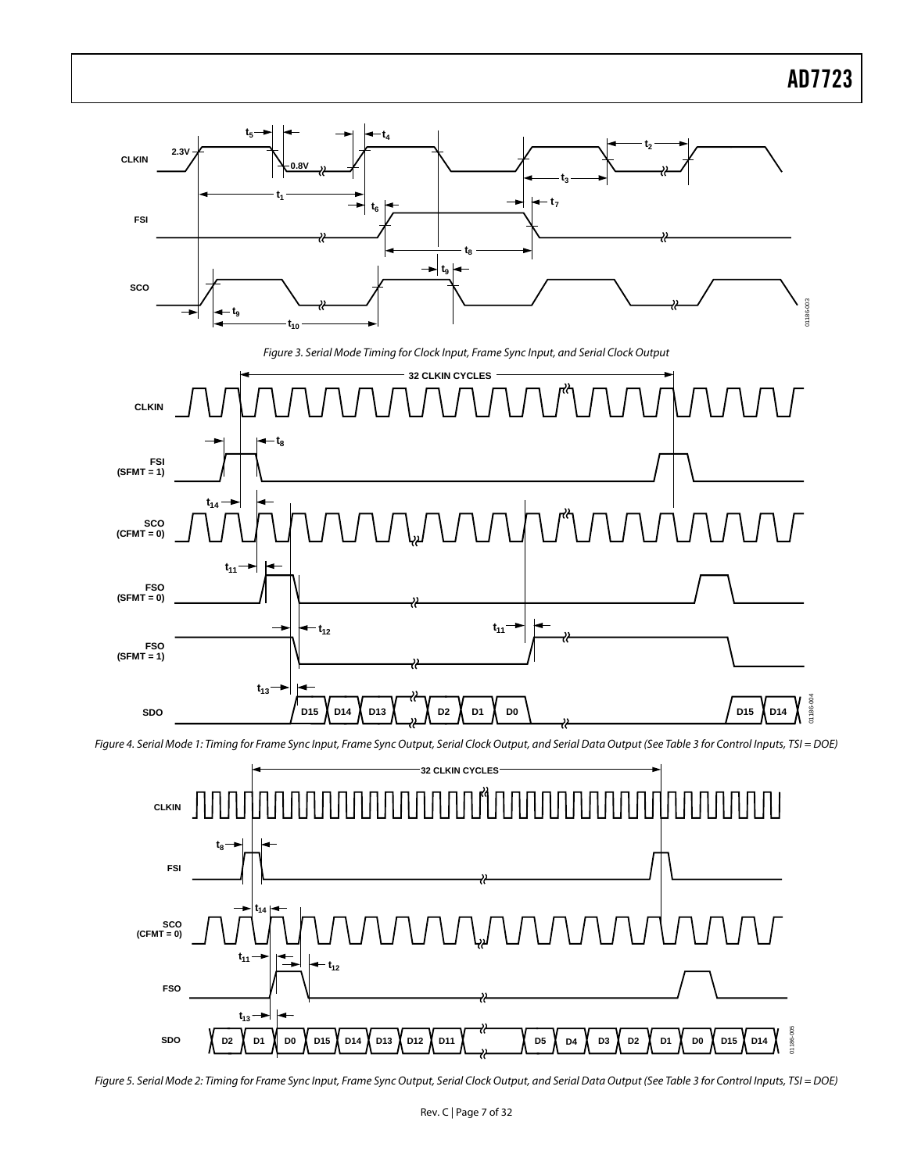<span id="page-6-0"></span>

<span id="page-6-1"></span>Figure 4. Serial Mode 1: Timing for Frame Sync Input, Frame Sync Output, Serial Clock Output, and Serial Data Output (See [Table](#page-7-0) 3 for Control Inputs, TSI = DOE)



Figure 5. Serial Mode 2: Timing for Frame Sync Input, Frame Sync Output, Serial Clock Output, and Serial Data Output (See [Table](#page-7-0) 3 for Control Inputs, TSI = DOE)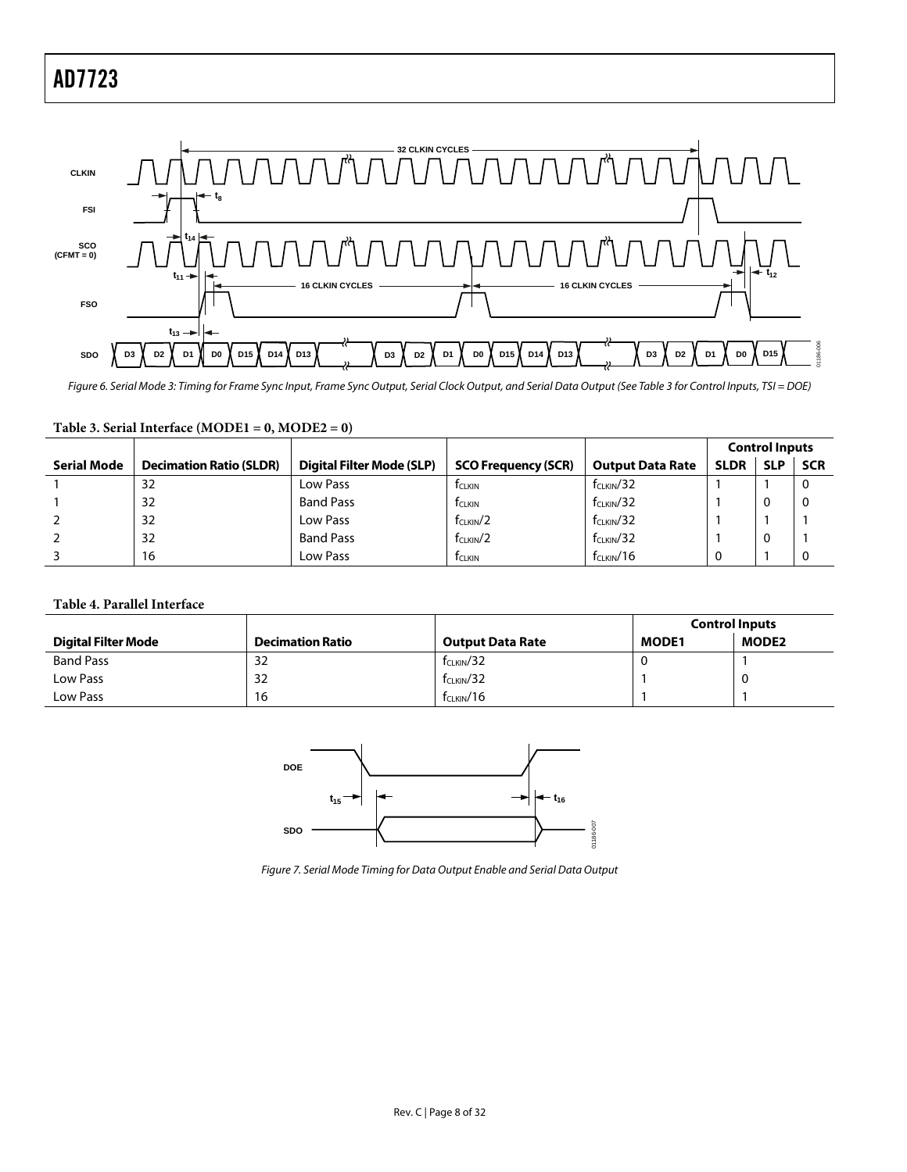<span id="page-7-2"></span>

Figure 6. Serial Mode 3: Timing for Frame Sync Input, Frame Sync Output, Serial Clock Output, and Serial Data Output (See [Table](#page-7-0) 3 for Control Inputs, TSI = DOE)

|             |                                |                           |                            |                         | <b>Control Inputs</b> |            |            |
|-------------|--------------------------------|---------------------------|----------------------------|-------------------------|-----------------------|------------|------------|
| Serial Mode | <b>Decimation Ratio (SLDR)</b> | Digital Filter Mode (SLP) | <b>SCO Frequency (SCR)</b> | <b>Output Data Rate</b> | <b>SLDR</b>           | <b>SLP</b> | <b>SCR</b> |
|             | 32                             | Low Pass                  | <b>T</b> CLKIN             | $f_{CLKIN}/32$          |                       |            | 0          |
|             | 32                             | <b>Band Pass</b>          | <b>T</b> CLKIN             | $f_{CLKIN}/32$          |                       |            | 0          |
|             | 32                             | Low Pass                  | $f_{CLKIN}/2$              | $f_{CLKIN}/32$          |                       |            |            |
|             | 32                             | <b>Band Pass</b>          | $f_{CLKIN}/2$              | $f_{CLKIN}/32$          |                       | u          |            |
|             | 16                             | Low Pass                  | <b>T</b> CLKIN             | $f_{CLKIN}/16$          | 0                     |            | 0          |

#### <span id="page-7-0"></span>**Table 3. Serial Interface (MODE1 = 0, MODE2 = 0)**

#### <span id="page-7-1"></span>**Table 4. Parallel Interface**

|                            |                         |                         | <b>Control Inputs</b> |              |
|----------------------------|-------------------------|-------------------------|-----------------------|--------------|
| <b>Digital Filter Mode</b> | <b>Decimation Ratio</b> | <b>Output Data Rate</b> | <b>MODE1</b>          | <b>MODE2</b> |
| <b>Band Pass</b>           | 32                      | $f_{CLKIN}/32$          |                       |              |
| Low Pass                   | 32                      | $f_{CLKIN}/32$          |                       |              |
| Low Pass                   | 16                      | f <sub>CLKIN</sub> /16  |                       |              |



Figure 7. Serial Mode Timing for Data Output Enable and Serial Data Output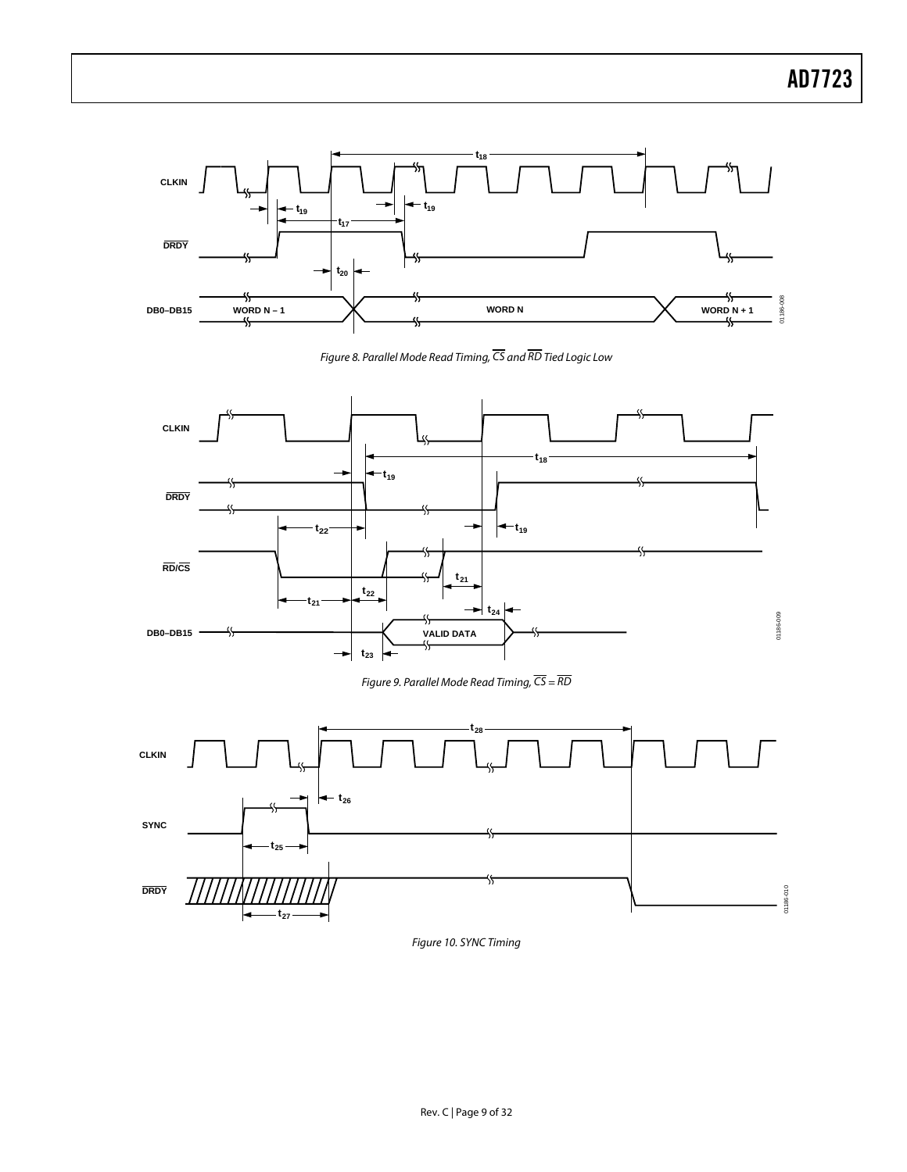

Figure 8. Parallel Mode Read Timing,  $\overline{\text{CS}}$  and  $\overline{\text{RD}}$  Tied Logic Low



Figure 9. Parallel Mode Read Timing,  $\overline{CS} = \overline{RD}$ 



Figure 10. SYNC Timing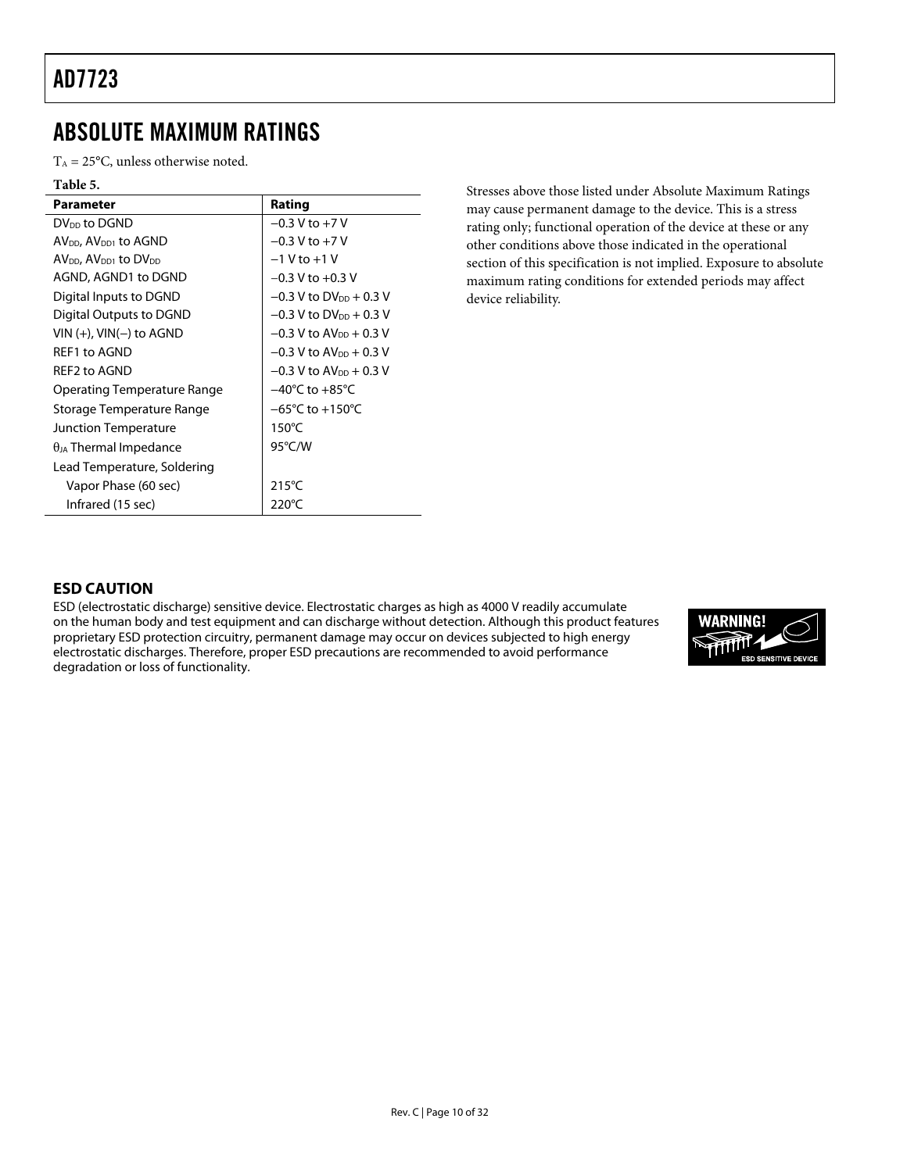### <span id="page-9-0"></span>ABSOLUTE MAXIMUM RATINGS

 $T_A = 25$ °C, unless otherwise noted.

| Rating                                |
|---------------------------------------|
| $-0.3$ V to $+7$ V                    |
| $-0.3$ V to $+7$ V                    |
| $-1$ V to $+1$ V                      |
| $-0.3$ V to $+0.3$ V                  |
| $-0.3$ V to DV <sub>DD</sub> + 0.3 V  |
| $-0.3$ V to DV <sub>DD</sub> + 0.3 V  |
| $-0.3$ V to $AV_{DD}$ + 0.3 V         |
| $-0.3$ V to $AV_{DD} + 0.3$ V         |
| $-0.3$ V to AV <sub>pp</sub> $+0.3$ V |
| $-40^{\circ}$ C to $+85^{\circ}$ C    |
| $-65^{\circ}$ C to $+150^{\circ}$ C   |
| $150^{\circ}$ C                       |
| 95°C/W                                |
|                                       |
| $215^{\circ}$ C                       |
| $220^{\circ}$ C                       |
|                                       |

Stresses above those listed under Absolute Maximum Ratings may cause permanent damage to the device. This is a stress rating only; functional operation of the device at these or any other conditions above those indicated in the operational section of this specification is not implied. Exposure to absolute maximum rating conditions for extended periods may affect device reliability.

#### **ESD CAUTION**

ESD (electrostatic discharge) sensitive device. Electrostatic charges as high as 4000 V readily accumulate on the human body and test equipment and can discharge without detection. Although this product features proprietary ESD protection circuitry, permanent damage may occur on devices subjected to high energy electrostatic discharges. Therefore, proper ESD precautions are recommended to avoid performance degradation or loss of functionality.

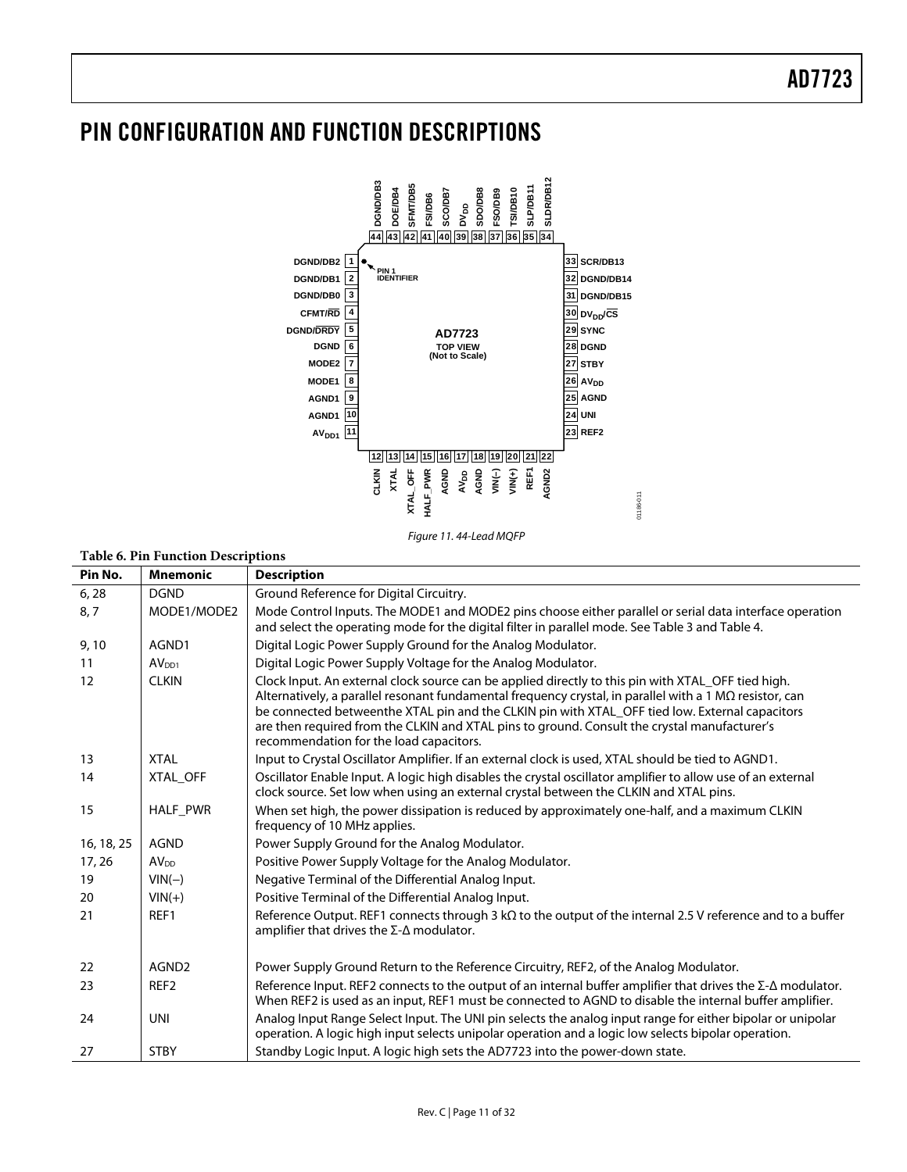## <span id="page-10-0"></span>PIN CONFIGURATION AND FUNCTION DESCRIPTIONS



Figure 11. 44-Lead MQFP

#### **Table 6. Pin Function Descriptions**

|            | rabic 0. I in Function Descriptions |                                                                                                                                                                                                                                                                                                                                                                                                                                                                   |
|------------|-------------------------------------|-------------------------------------------------------------------------------------------------------------------------------------------------------------------------------------------------------------------------------------------------------------------------------------------------------------------------------------------------------------------------------------------------------------------------------------------------------------------|
| Pin No.    | <b>Mnemonic</b>                     | <b>Description</b>                                                                                                                                                                                                                                                                                                                                                                                                                                                |
| 6, 28      | <b>DGND</b>                         | Ground Reference for Digital Circuitry.                                                                                                                                                                                                                                                                                                                                                                                                                           |
| 8,7        | MODE1/MODE2                         | Mode Control Inputs. The MODE1 and MODE2 pins choose either parallel or serial data interface operation<br>and select the operating mode for the digital filter in parallel mode. See Table 3 and Table 4.                                                                                                                                                                                                                                                        |
| 9,10       | AGND1                               | Digital Logic Power Supply Ground for the Analog Modulator.                                                                                                                                                                                                                                                                                                                                                                                                       |
| 11         | AV <sub>DD1</sub>                   | Digital Logic Power Supply Voltage for the Analog Modulator.                                                                                                                                                                                                                                                                                                                                                                                                      |
| 12         | <b>CLKIN</b>                        | Clock Input. An external clock source can be applied directly to this pin with XTAL_OFF tied high.<br>Alternatively, a parallel resonant fundamental frequency crystal, in parallel with a 1 $M\Omega$ resistor, can<br>be connected betweenthe XTAL pin and the CLKIN pin with XTAL_OFF tied low. External capacitors<br>are then required from the CLKIN and XTAL pins to ground. Consult the crystal manufacturer's<br>recommendation for the load capacitors. |
| 13         | <b>XTAL</b>                         | Input to Crystal Oscillator Amplifier. If an external clock is used, XTAL should be tied to AGND1.                                                                                                                                                                                                                                                                                                                                                                |
| 14         | XTAL OFF                            | Oscillator Enable Input. A logic high disables the crystal oscillator amplifier to allow use of an external<br>clock source. Set low when using an external crystal between the CLKIN and XTAL pins.                                                                                                                                                                                                                                                              |
| 15         | HALF_PWR                            | When set high, the power dissipation is reduced by approximately one-half, and a maximum CLKIN<br>frequency of 10 MHz applies.                                                                                                                                                                                                                                                                                                                                    |
| 16, 18, 25 | <b>AGND</b>                         | Power Supply Ground for the Analog Modulator.                                                                                                                                                                                                                                                                                                                                                                                                                     |
| 17, 26     | AV <sub>DD</sub>                    | Positive Power Supply Voltage for the Analog Modulator.                                                                                                                                                                                                                                                                                                                                                                                                           |
| 19         | $VIN(-)$                            | Negative Terminal of the Differential Analog Input.                                                                                                                                                                                                                                                                                                                                                                                                               |
| 20         | $VIN(+)$                            | Positive Terminal of the Differential Analog Input.                                                                                                                                                                                                                                                                                                                                                                                                               |
| 21         | REF1                                | Reference Output. REF1 connects through $3 k\Omega$ to the output of the internal 2.5 V reference and to a buffer<br>amplifier that drives the $\Sigma$ - $\Delta$ modulator.                                                                                                                                                                                                                                                                                     |
| 22         | AGND <sub>2</sub>                   | Power Supply Ground Return to the Reference Circuitry, REF2, of the Analog Modulator.                                                                                                                                                                                                                                                                                                                                                                             |
| 23         | REF <sub>2</sub>                    | Reference Input. REF2 connects to the output of an internal buffer amplifier that drives the $\Sigma$ - $\Delta$ modulator.<br>When REF2 is used as an input, REF1 must be connected to AGND to disable the internal buffer amplifier.                                                                                                                                                                                                                            |
| 24         | <b>UNI</b>                          | Analog Input Range Select Input. The UNI pin selects the analog input range for either bipolar or unipolar<br>operation. A logic high input selects unipolar operation and a logic low selects bipolar operation.                                                                                                                                                                                                                                                 |
| 27         | <b>STBY</b>                         | Standby Logic Input. A logic high sets the AD7723 into the power-down state.                                                                                                                                                                                                                                                                                                                                                                                      |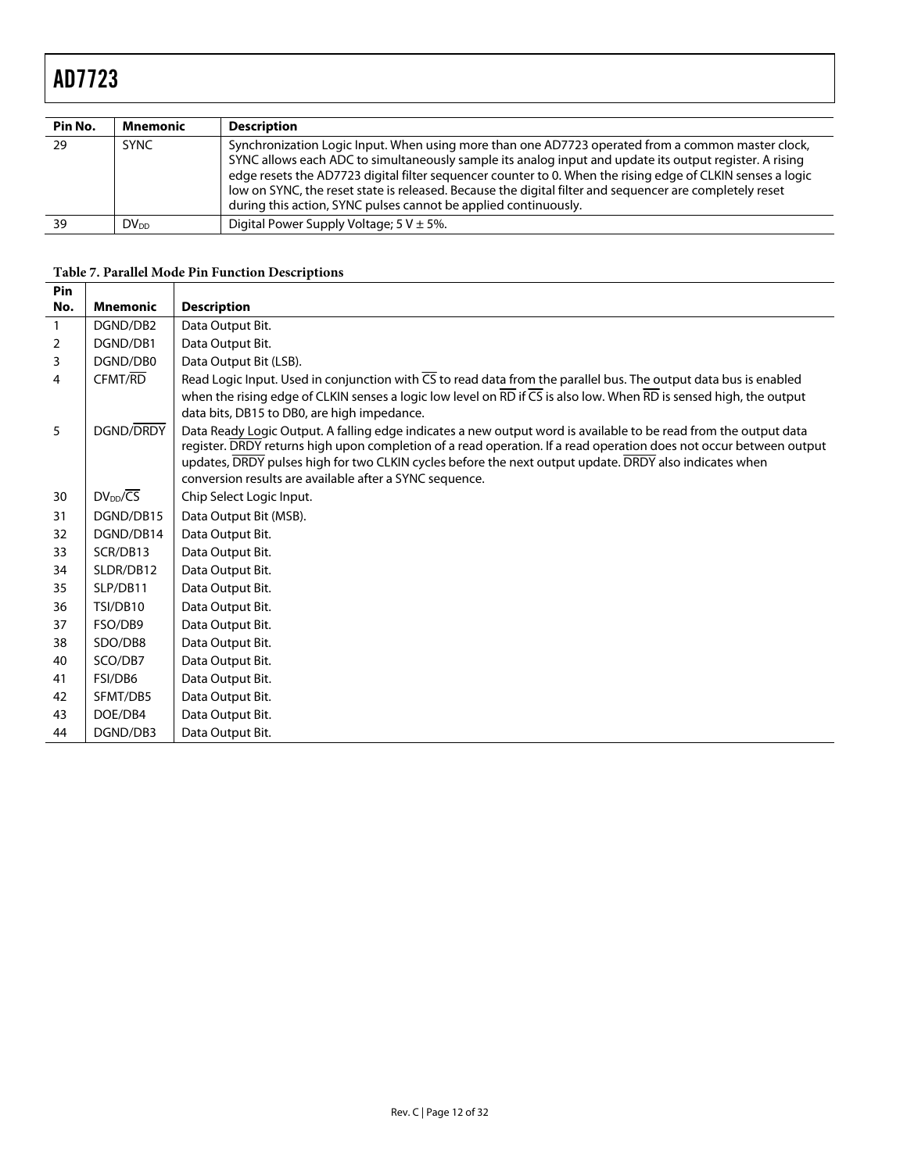| Pin No. | Mnemonic         | <b>Description</b>                                                                                                                                                                                                                                                                                                                                                                                                                                                                                       |  |  |
|---------|------------------|----------------------------------------------------------------------------------------------------------------------------------------------------------------------------------------------------------------------------------------------------------------------------------------------------------------------------------------------------------------------------------------------------------------------------------------------------------------------------------------------------------|--|--|
| 29      | <b>SYNC</b>      | Synchronization Logic Input. When using more than one AD7723 operated from a common master clock,<br>SYNC allows each ADC to simultaneously sample its analog input and update its output register. A rising<br>edge resets the AD7723 digital filter sequencer counter to 0. When the rising edge of CLKIN senses a logic<br>low on SYNC, the reset state is released. Because the digital filter and sequencer are completely reset<br>during this action, SYNC pulses cannot be applied continuously. |  |  |
| 39      | DV <sub>DD</sub> | Digital Power Supply Voltage; $5 V \pm 5\%$ .                                                                                                                                                                                                                                                                                                                                                                                                                                                            |  |  |

#### **Table 7. Parallel Mode Pin Function Descriptions**

| Pin          |                                                                                                                                          |                                                                                                                                                           |  |  |
|--------------|------------------------------------------------------------------------------------------------------------------------------------------|-----------------------------------------------------------------------------------------------------------------------------------------------------------|--|--|
| No.          | <b>Mnemonic</b>                                                                                                                          | <b>Description</b>                                                                                                                                        |  |  |
| $\mathbf{1}$ | DGND/DB2                                                                                                                                 | Data Output Bit.                                                                                                                                          |  |  |
| 2            | DGND/DB1                                                                                                                                 | Data Output Bit.                                                                                                                                          |  |  |
| 3            | DGND/DB0                                                                                                                                 | Data Output Bit (LSB).                                                                                                                                    |  |  |
| 4            | Read Logic Input. Used in conjunction with $\overline{CS}$ to read data from the parallel bus. The output data bus is enabled<br>CFMT/RD |                                                                                                                                                           |  |  |
|              |                                                                                                                                          | when the rising edge of CLKIN senses a logic low level on $\overline{RD}$ if $\overline{CS}$ is also low. When $\overline{RD}$ is sensed high, the output |  |  |
|              |                                                                                                                                          | data bits, DB15 to DB0, are high impedance.                                                                                                               |  |  |
| 5            | <b>DGND/DRDY</b>                                                                                                                         | Data Ready Logic Output. A falling edge indicates a new output word is available to be read from the output data                                          |  |  |
|              |                                                                                                                                          | register. DRDY returns high upon completion of a read operation. If a read operation does not occur between output                                        |  |  |
|              |                                                                                                                                          | updates, DRDY pulses high for two CLKIN cycles before the next output update. DRDY also indicates when                                                    |  |  |
|              |                                                                                                                                          | conversion results are available after a SYNC sequence.                                                                                                   |  |  |
| 30           | $DV_{DD}/\overline{CS}$                                                                                                                  | Chip Select Logic Input.                                                                                                                                  |  |  |
| 31           | DGND/DB15                                                                                                                                | Data Output Bit (MSB).                                                                                                                                    |  |  |
| 32           | DGND/DB14                                                                                                                                | Data Output Bit.                                                                                                                                          |  |  |
| 33           | SCR/DB13                                                                                                                                 | Data Output Bit.                                                                                                                                          |  |  |
| 34           | SLDR/DB12                                                                                                                                | Data Output Bit.                                                                                                                                          |  |  |
| 35           | SLP/DB11                                                                                                                                 | Data Output Bit.                                                                                                                                          |  |  |
| 36           | TSI/DB10                                                                                                                                 | Data Output Bit.                                                                                                                                          |  |  |
| 37           | FSO/DB9                                                                                                                                  | Data Output Bit.                                                                                                                                          |  |  |
| 38           | SDO/DB8                                                                                                                                  | Data Output Bit.                                                                                                                                          |  |  |
| 40           | SCO/DB7                                                                                                                                  | Data Output Bit.                                                                                                                                          |  |  |
| 41           | FSI/DB6                                                                                                                                  | Data Output Bit.                                                                                                                                          |  |  |
| 42           | SFMT/DB5                                                                                                                                 | Data Output Bit.                                                                                                                                          |  |  |
| 43           | DOE/DB4                                                                                                                                  | Data Output Bit.                                                                                                                                          |  |  |
| 44           | DGND/DB3                                                                                                                                 | Data Output Bit.                                                                                                                                          |  |  |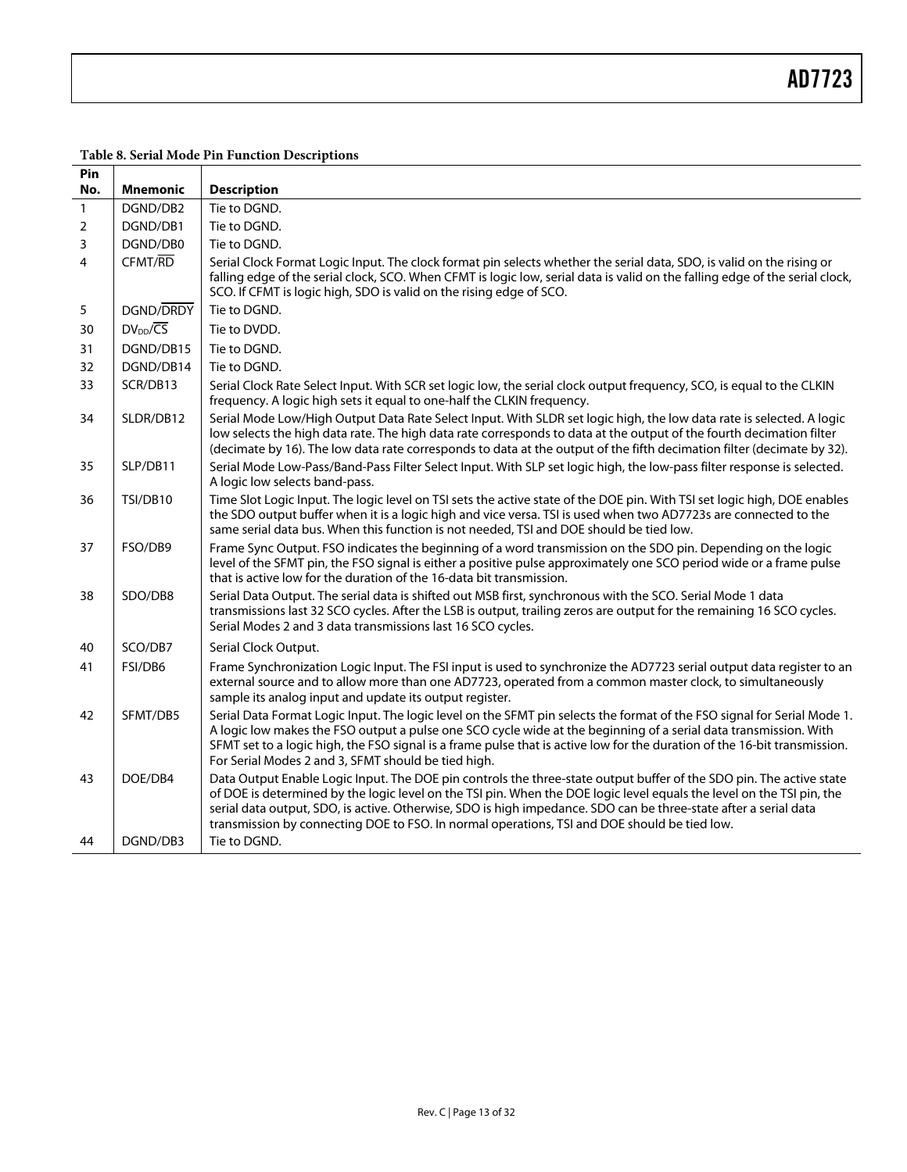### **Table 8. Serial Mode Pin Function Descriptions**

| No.<br>1       | <b>Mnemonic</b>         | <b>Description</b>                                                                                                                                                                                                                                                                                                                                                                                                                                               |  |  |  |  |
|----------------|-------------------------|------------------------------------------------------------------------------------------------------------------------------------------------------------------------------------------------------------------------------------------------------------------------------------------------------------------------------------------------------------------------------------------------------------------------------------------------------------------|--|--|--|--|
|                |                         |                                                                                                                                                                                                                                                                                                                                                                                                                                                                  |  |  |  |  |
|                | DGND/DB2                | Tie to DGND.                                                                                                                                                                                                                                                                                                                                                                                                                                                     |  |  |  |  |
| $\overline{2}$ | DGND/DB1                | Tie to DGND.                                                                                                                                                                                                                                                                                                                                                                                                                                                     |  |  |  |  |
| 3              | DGND/DB0                | Tie to DGND.                                                                                                                                                                                                                                                                                                                                                                                                                                                     |  |  |  |  |
| 4              | CFMT/RD                 | Serial Clock Format Logic Input. The clock format pin selects whether the serial data, SDO, is valid on the rising or<br>falling edge of the serial clock, SCO. When CFMT is logic low, serial data is valid on the falling edge of the serial clock,<br>SCO. If CFMT is logic high, SDO is valid on the rising edge of SCO.                                                                                                                                     |  |  |  |  |
| 5              | DGND/DRDY               | Tie to DGND.                                                                                                                                                                                                                                                                                                                                                                                                                                                     |  |  |  |  |
| 30             | $DV_{DD}/\overline{CS}$ | Tie to DVDD.                                                                                                                                                                                                                                                                                                                                                                                                                                                     |  |  |  |  |
| 31             | DGND/DB15               | Tie to DGND.                                                                                                                                                                                                                                                                                                                                                                                                                                                     |  |  |  |  |
| 32             | DGND/DB14               | Tie to DGND.                                                                                                                                                                                                                                                                                                                                                                                                                                                     |  |  |  |  |
| 33             | SCR/DB13                | Serial Clock Rate Select Input. With SCR set logic low, the serial clock output frequency, SCO, is equal to the CLKIN<br>frequency. A logic high sets it equal to one-half the CLKIN frequency.                                                                                                                                                                                                                                                                  |  |  |  |  |
| 34             | SLDR/DB12               | Serial Mode Low/High Output Data Rate Select Input. With SLDR set logic high, the low data rate is selected. A logic<br>low selects the high data rate. The high data rate corresponds to data at the output of the fourth decimation filter<br>(decimate by 16). The low data rate corresponds to data at the output of the fifth decimation filter (decimate by 32).                                                                                           |  |  |  |  |
| 35             | SLP/DB11                | Serial Mode Low-Pass/Band-Pass Filter Select Input. With SLP set logic high, the low-pass filter response is selected.<br>A logic low selects band-pass.                                                                                                                                                                                                                                                                                                         |  |  |  |  |
| 36             | TSI/DB10                | Time Slot Logic Input. The logic level on TSI sets the active state of the DOE pin. With TSI set logic high, DOE enables<br>the SDO output buffer when it is a logic high and vice versa. TSI is used when two AD7723s are connected to the<br>same serial data bus. When this function is not needed, TSI and DOE should be tied low.                                                                                                                           |  |  |  |  |
| 37             | FSO/DB9                 | Frame Sync Output. FSO indicates the beginning of a word transmission on the SDO pin. Depending on the logic<br>level of the SFMT pin, the FSO signal is either a positive pulse approximately one SCO period wide or a frame pulse<br>that is active low for the duration of the 16-data bit transmission.                                                                                                                                                      |  |  |  |  |
| 38             | SDO/DB8                 | Serial Data Output. The serial data is shifted out MSB first, synchronous with the SCO. Serial Mode 1 data<br>transmissions last 32 SCO cycles. After the LSB is output, trailing zeros are output for the remaining 16 SCO cycles.<br>Serial Modes 2 and 3 data transmissions last 16 SCO cycles.                                                                                                                                                               |  |  |  |  |
| 40             | SCO/DB7                 | Serial Clock Output.                                                                                                                                                                                                                                                                                                                                                                                                                                             |  |  |  |  |
| 41             | FSI/DB6                 | Frame Synchronization Logic Input. The FSI input is used to synchronize the AD7723 serial output data register to an<br>external source and to allow more than one AD7723, operated from a common master clock, to simultaneously<br>sample its analog input and update its output register.                                                                                                                                                                     |  |  |  |  |
| 42             | SFMT/DB5                | Serial Data Format Logic Input. The logic level on the SFMT pin selects the format of the FSO signal for Serial Mode 1.<br>A logic low makes the FSO output a pulse one SCO cycle wide at the beginning of a serial data transmission. With<br>SFMT set to a logic high, the FSO signal is a frame pulse that is active low for the duration of the 16-bit transmission.<br>For Serial Modes 2 and 3, SFMT should be tied high.                                  |  |  |  |  |
| 43             | DOE/DB4                 | Data Output Enable Logic Input. The DOE pin controls the three-state output buffer of the SDO pin. The active state<br>of DOE is determined by the logic level on the TSI pin. When the DOE logic level equals the level on the TSI pin, the<br>serial data output, SDO, is active. Otherwise, SDO is high impedance. SDO can be three-state after a serial data<br>transmission by connecting DOE to FSO. In normal operations, TSI and DOE should be tied low. |  |  |  |  |
| 44             | DGND/DB3                | Tie to DGND.                                                                                                                                                                                                                                                                                                                                                                                                                                                     |  |  |  |  |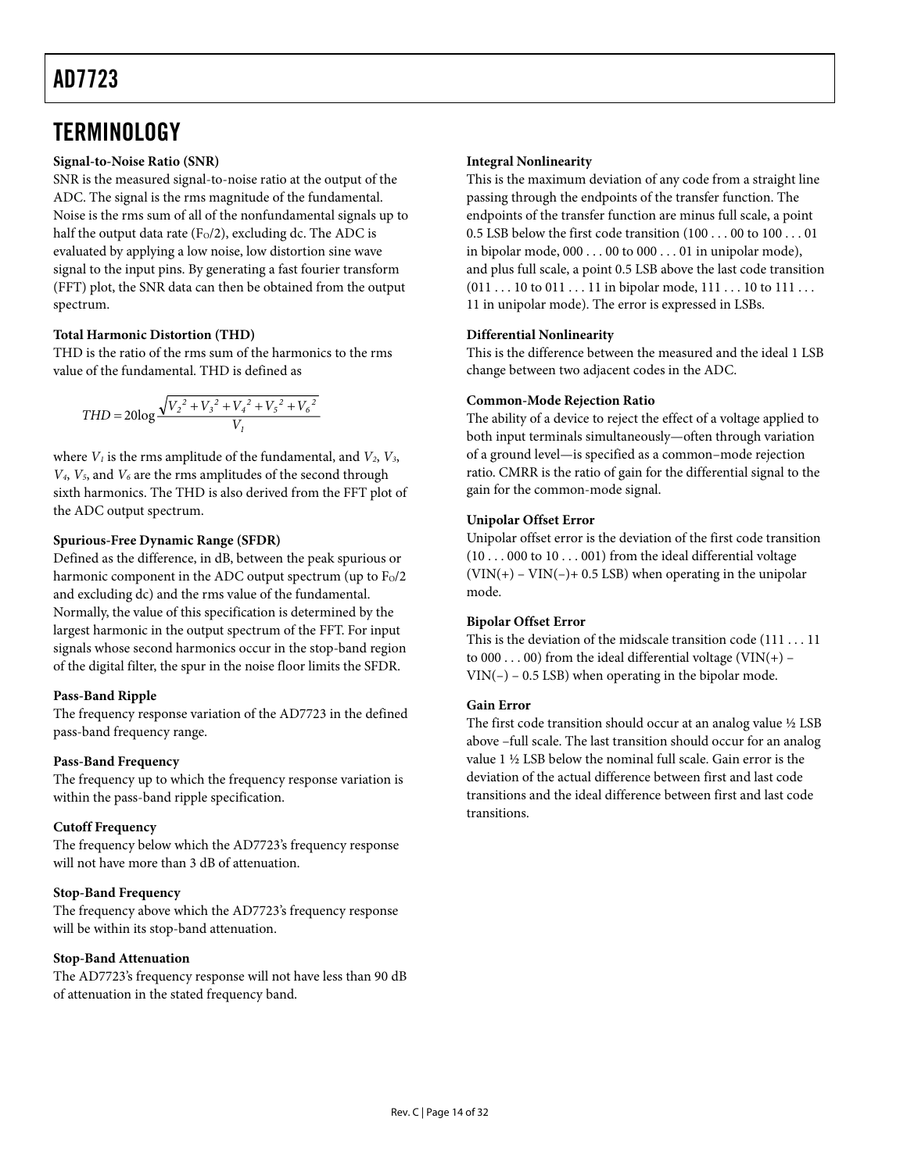### <span id="page-13-0"></span>**TERMINOLOGY**

#### **Signal-to-Noise Ratio (SNR)**

SNR is the measured signal-to-noise ratio at the output of the ADC. The signal is the rms magnitude of the fundamental. Noise is the rms sum of all of the nonfundamental signals up to half the output data rate ( $F<sub>0</sub>/2$ ), excluding dc. The ADC is evaluated by applying a low noise, low distortion sine wave signal to the input pins. By generating a fast fourier transform (FFT) plot, the SNR data can then be obtained from the output spectrum.

#### **Total Harmonic Distortion (THD)**

THD is the ratio of the rms sum of the harmonics to the rms value of the fundamental. THD is defined as

$$
THD = 20 \log \frac{\sqrt{V_2^2 + V_3^2 + V_4^2 + V_5^2 + V_6^2}}{V_1}
$$

where  $V_1$  is the rms amplitude of the fundamental, and  $V_2$ ,  $V_3$ ,  $V_4$ ,  $V_5$ , and  $V_6$  are the rms amplitudes of the second through sixth harmonics. The THD is also derived from the FFT plot of the ADC output spectrum.

#### **Spurious-Free Dynamic Range (SFDR)**

Defined as the difference, in dB, between the peak spurious or harmonic component in the ADC output spectrum (up to  $F<sub>0</sub>/2$ and excluding dc) and the rms value of the fundamental. Normally, the value of this specification is determined by the largest harmonic in the output spectrum of the FFT. For input signals whose second harmonics occur in the stop-band region of the digital filter, the spur in the noise floor limits the SFDR.

#### **Pass-Band Ripple**

The frequency response variation of the AD7723 in the defined pass-band frequency range.

#### **Pass-Band Frequency**

The frequency up to which the frequency response variation is within the pass-band ripple specification.

#### **Cutoff Frequency**

The frequency below which the AD7723's frequency response will not have more than 3 dB of attenuation.

#### **Stop-Band Frequency**

The frequency above which the AD7723's frequency response will be within its stop-band attenuation.

#### **Stop-Band Attenuation**

The AD7723's frequency response will not have less than 90 dB of attenuation in the stated frequency band.

#### **Integral Nonlinearity**

This is the maximum deviation of any code from a straight line passing through the endpoints of the transfer function. The endpoints of the transfer function are minus full scale, a point 0.5 LSB below the first code transition (100 . . . 00 to 100 . . . 01 in bipolar mode, 000 . . . 00 to 000 . . . 01 in unipolar mode), and plus full scale, a point 0.5 LSB above the last code transition  $(011...10 \text{ to } 011...11 \text{ in bipolar mode}, 111...10 \text{ to } 111...$ 11 in unipolar mode). The error is expressed in LSBs.

#### **Differential Nonlinearity**

This is the difference between the measured and the ideal 1 LSB change between two adjacent codes in the ADC.

#### **Common-Mode Rejection Ratio**

The ability of a device to reject the effect of a voltage applied to both input terminals simultaneously—often through variation of a ground level—is specified as a common–mode rejection ratio. CMRR is the ratio of gain for the differential signal to the gain for the common-mode signal.

#### **Unipolar Offset Error**

Unipolar offset error is the deviation of the first code transition (10 . . . 000 to 10 . . . 001) from the ideal differential voltage  $(VIN(+) - VIN(-) + 0.5 LSB)$  when operating in the unipolar mode.

#### **Bipolar Offset Error**

This is the deviation of the midscale transition code (111 . . . 11 to  $000...00$  from the ideal differential voltage (VIN(+) –  $VIN(-) - 0.5$  LSB) when operating in the bipolar mode.

#### **Gain Error**

The first code transition should occur at an analog value ½ LSB above –full scale. The last transition should occur for an analog value 1 ½ LSB below the nominal full scale. Gain error is the deviation of the actual difference between first and last code transitions and the ideal difference between first and last code transitions.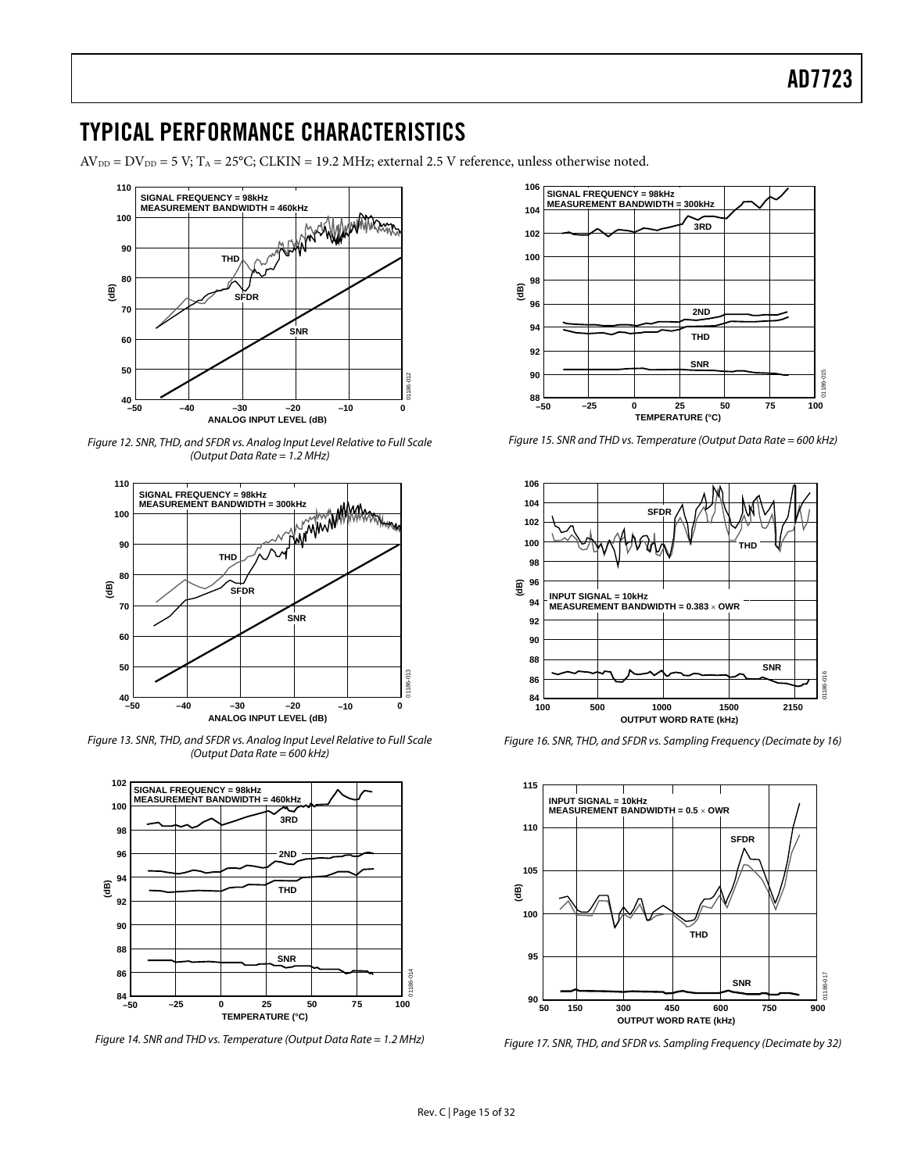### <span id="page-14-0"></span>TYPICAL PERFORMANCE CHARACTERISTICS

 $AV_{DD} = DV_{DD} = 5 V$ ;  $T_A = 25°C$ ; CLKIN = 19.2 MHz; external 2.5 V reference, unless otherwise noted.



Figure 12. SNR, THD, and SFDR vs. Analog Input Level Relative to Full Scale (Output Data Rate = 1.2 MHz)



Figure 13. SNR, THD, and SFDR vs. Analog Input Level Relative to Full Scale (Output Data Rate = 600 kHz)



Figure 14. SNR and THD vs. Temperature (Output Data Rate = 1.2 MHz)



Figure 15. SNR and THD vs. Temperature (Output Data Rate = 600 kHz)



Figure 16. SNR, THD, and SFDR vs. Sampling Frequency (Decimate by 16)



Figure 17. SNR, THD, and SFDR vs. Sampling Frequency (Decimate by 32)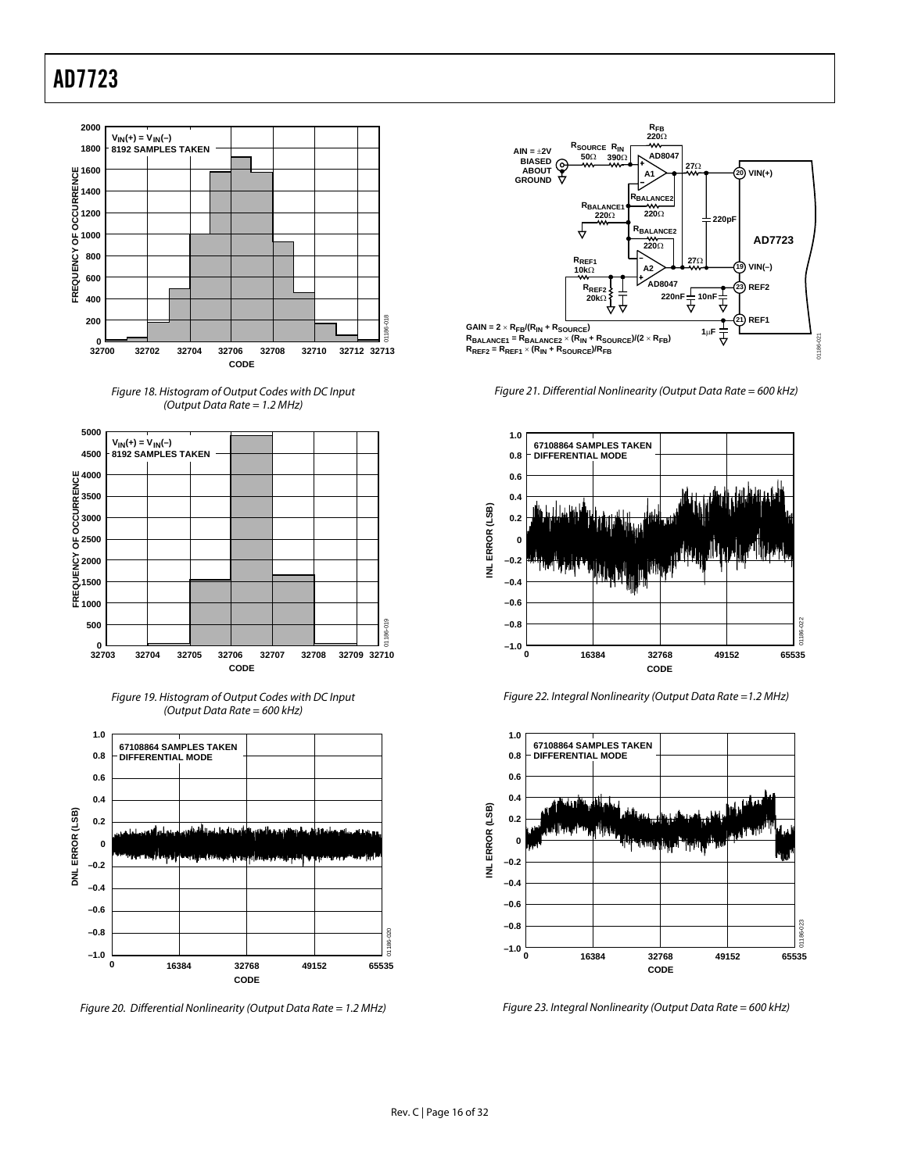









Figure 20. Differential Nonlinearity (Output Data Rate = 1.2 MHz)



Figure 21. Differential Nonlinearity (Output Data Rate = 600 kHz)



Figure 22. Integral Nonlinearity (Output Data Rate =1.2 MHz)



Figure 23. Integral Nonlinearity (Output Data Rate = 600 kHz)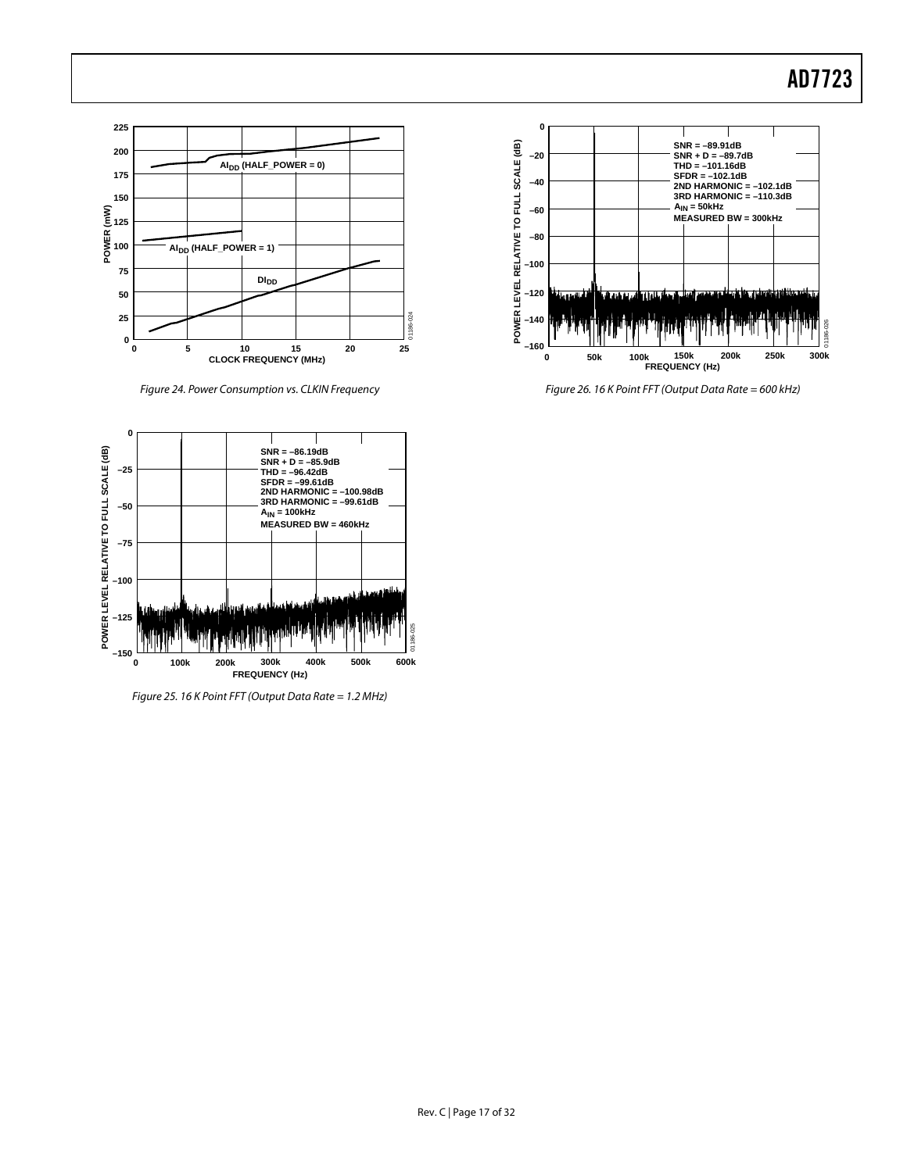

Figure 24. Power Consumption vs. CLKIN Frequency



Figure 25. 16 K Point FFT (Output Data Rate = 1.2 MHz)



Figure 26. 16 K Point FFT (Output Data Rate = 600 kHz)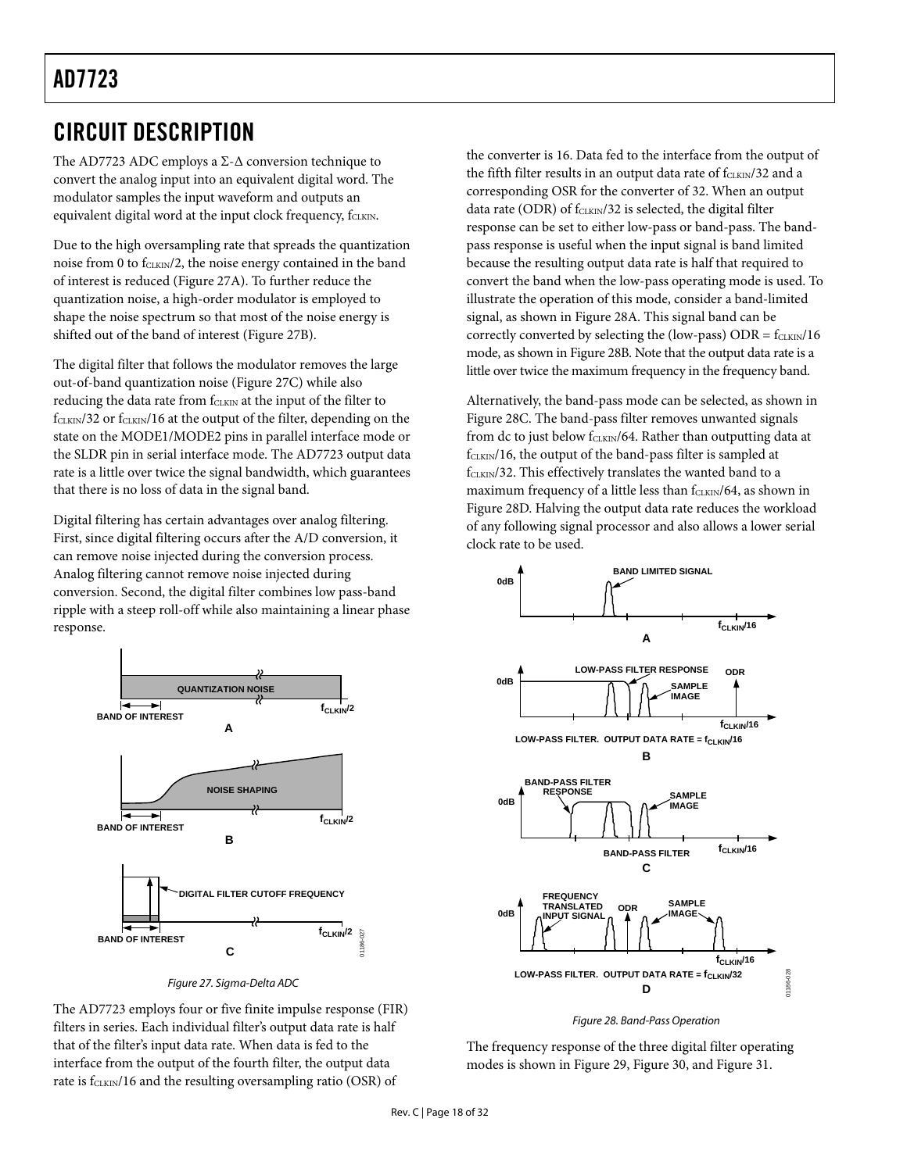### <span id="page-17-0"></span>CIRCUIT DESCRIPTION

The AD7723 ADC employs a  $\Sigma$ -Δ conversion technique to convert the analog input into an equivalent digital word. The modulator samples the input waveform and outputs an equivalent digital word at the input clock frequency, fCLKIN.

Due to the high oversampling rate that spreads the quantization noise from 0 to  $f_{CLKIN}/2$ , the noise energy contained in the band of interest is reduced ([Figure 27A\)](#page-17-1). To further reduce the quantization noise, a high-order modulator is employed to shape the noise spectrum so that most of the noise energy is shifted out of the band of interest ([Figure 27B\)](#page-17-1).

The digital filter that follows the modulator removes the large out-of-band quantization noise ([Figure 27C\) w](#page-17-1)hile also reducing the data rate from fCLKIN at the input of the filter to  $f_{CLKIN}/32$  or  $f_{CLKIN}/16$  at the output of the filter, depending on the state on the MODE1/MODE2 pins in parallel interface mode or the SLDR pin in serial interface mode. The AD7723 output data rate is a little over twice the signal bandwidth, which guarantees that there is no loss of data in the signal band.

Digital filtering has certain advantages over analog filtering. First, since digital filtering occurs after the A/D conversion, it can remove noise injected during the conversion process. Analog filtering cannot remove noise injected during conversion. Second, the digital filter combines low pass-band ripple with a steep roll-off while also maintaining a linear phase response.

<span id="page-17-1"></span>



The AD7723 employs four or five finite impulse response (FIR) filters in series. Each individual filter's output data rate is half that of the filter's input data rate. When data is fed to the interface from the output of the fourth filter, the output data rate is  $f_{CLKIN}/16$  and the resulting oversampling ratio (OSR) of

the converter is 16. Data fed to the interface from the output of the fifth filter results in an output data rate of  $f_{CLKIN}/32$  and a corresponding OSR for the converter of 32. When an output data rate (ODR) of  $f_{CLKIN}/32$  is selected, the digital filter response can be set to either low-pass or band-pass. The bandpass response is useful when the input signal is band limited because the resulting output data rate is half that required to convert the band when the low-pass operating mode is used. To illustrate the operation of this mode, consider a band-limited signal, as shown in [Figure 28A.](#page-17-2) This signal band can be correctly converted by selecting the (low-pass)  $ODR = f<sub>CLKIN</sub>/16$ mode, as shown in [Figure](#page-17-2) 28B. Note that the output data rate is a little over twice the maximum frequency in the frequency band.

Alternatively, the band-pass mode can be selected, as shown in [Figure 28C.](#page-17-2) The band-pass filter removes unwanted signals from dc to just below fCLKIN/64. Rather than outputting data at fCLKIN/16, the output of the band-pass filter is sampled at  $f_{CLKIN}/32$ . This effectively translates the wanted band to a maximum frequency of a little less than fCLKIN/64, as shown in [Figure 28D.](#page-17-2) Halving the output data rate reduces the workload of any following signal processor and also allows a lower serial clock rate to be used.

<span id="page-17-2"></span>

Figure 28. Band-Pass Operation

The frequency response of the three digital filter operating modes is shown in [Figure 29,](#page-18-0) [Figure 30,](#page-18-1) and [Figure 31.](#page-18-2)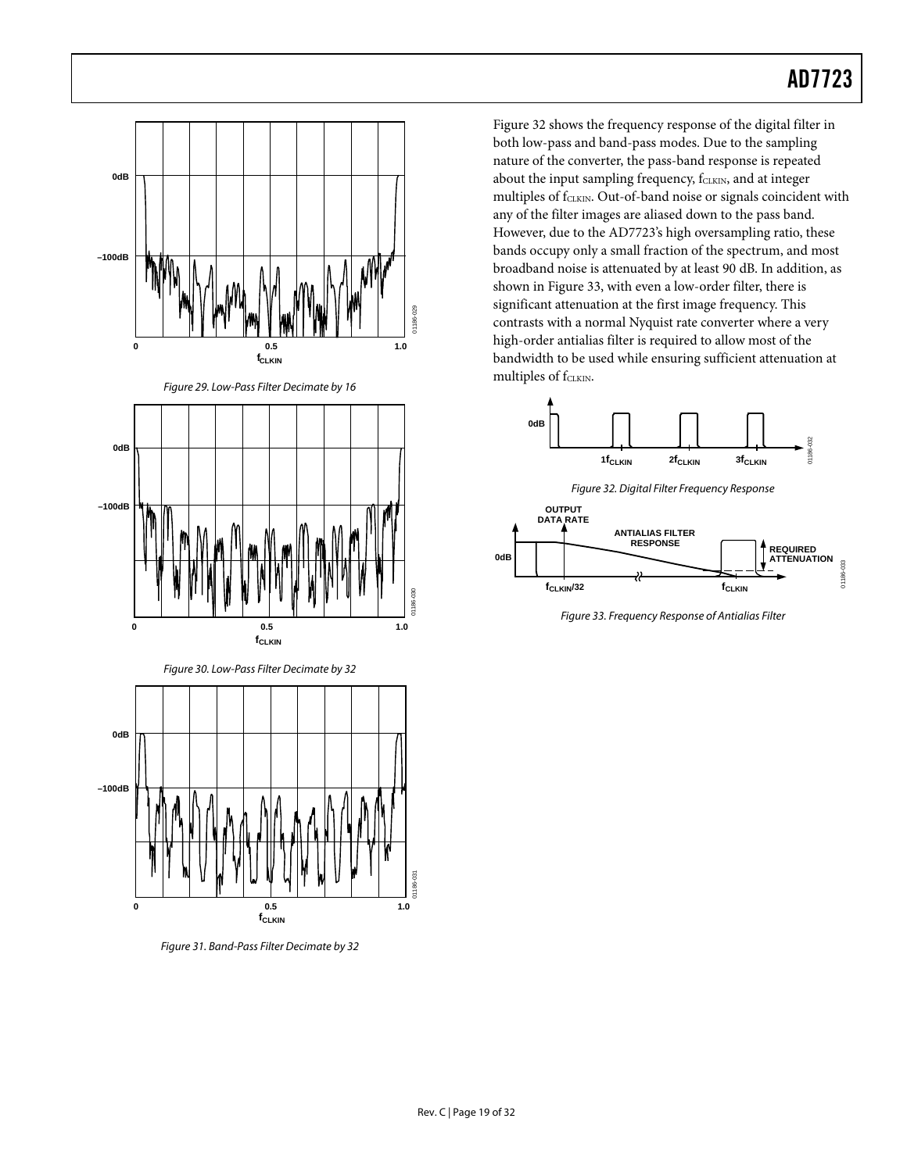<span id="page-18-0"></span>

<span id="page-18-2"></span>**fCLKIN** Figure 31. Band-Pass Filter Decimate by 32

<span id="page-18-1"></span>**0 0.5 1.0**

[Figure 32 s](#page-18-3)hows the frequency response of the digital filter in both low-pass and band-pass modes. Due to the sampling nature of the converter, the pass-band response is repeated about the input sampling frequency, fCLKIN, and at integer multiples of fCLKIN. Out-of-band noise or signals coincident with any of the filter images are aliased down to the pass band. However, due to the AD7723's high oversampling ratio, these bands occupy only a small fraction of the spectrum, and most broadband noise is attenuated by at least 90 dB. In addition, as shown in [Figure 33,](#page-18-4) with even a low-order filter, there is significant attenuation at the first image frequency. This contrasts with a normal Nyquist rate converter where a very high-order antialias filter is required to allow most of the bandwidth to be used while ensuring sufficient attenuation at multiples of f<sub>CLKIN</sub>.

<span id="page-18-3"></span>

<span id="page-18-4"></span>Figure 33. Frequency Response of Antialias Filter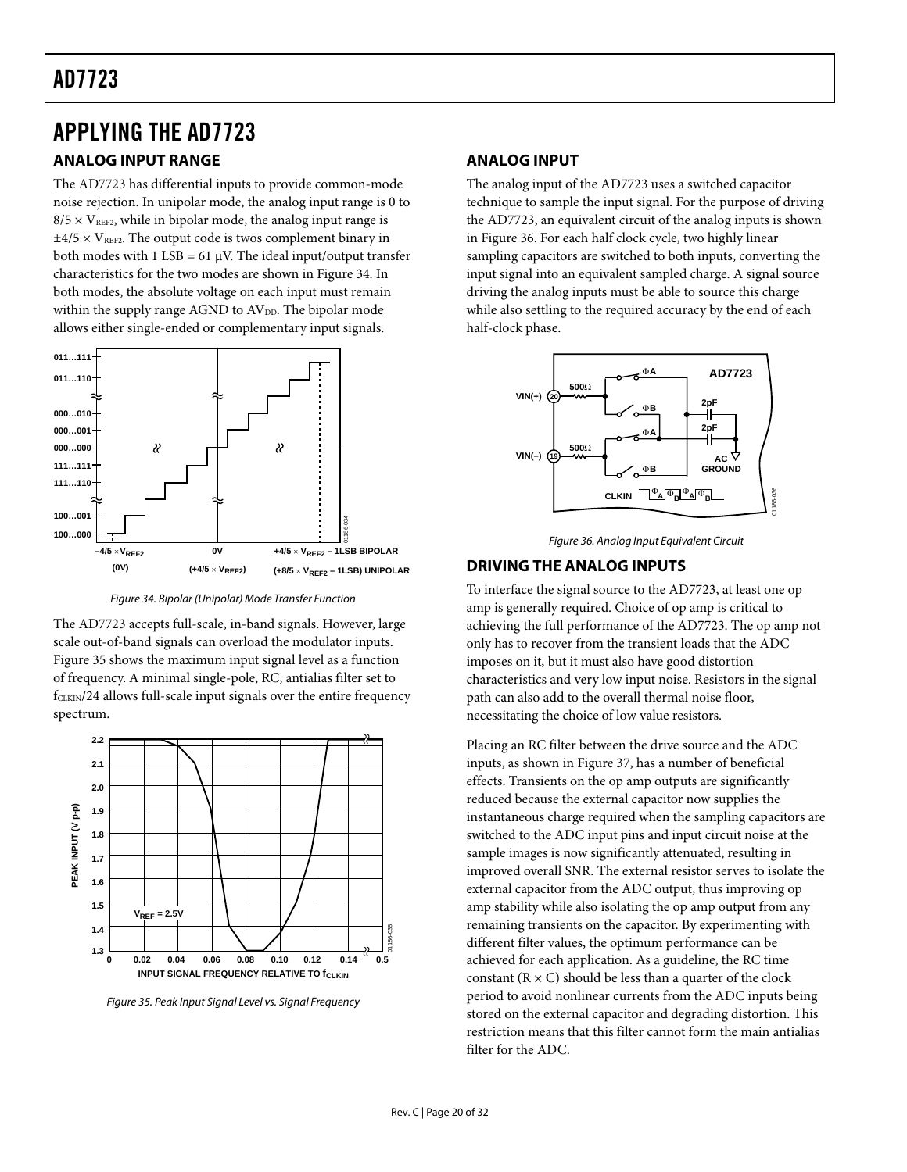### <span id="page-19-0"></span>APPLYING THE AD7723

#### **ANALOG INPUT RANGE**

The AD7723 has differential inputs to provide common-mode noise rejection. In unipolar mode, the analog input range is 0 to  $8/5 \times V_{\text{REF2}}$ , while in bipolar mode, the analog input range is  $\pm$ 4/5  $\times$  V<sub>REF2</sub>. The output code is twos complement binary in both modes with  $1$  LSB = 61  $\mu$ V. The ideal input/output transfer characteristics for the two modes are shown in [Figure 34.](#page-19-1) In both modes, the absolute voltage on each input must remain within the supply range AGND to AV<sub>DD</sub>. The bipolar mode allows either single-ended or complementary input signals.

<span id="page-19-1"></span>

Figure 34. Bipolar (Unipolar) Mode Transfer Function

The AD7723 accepts full-scale, in-band signals. However, large scale out-of-band signals can overload the modulator inputs. [Figure 35 s](#page-19-2)hows the maximum input signal level as a function of frequency. A minimal single-pole, RC, antialias filter set to  $f_{CLKIN}/24$  allows full-scale input signals over the entire frequency spectrum.

<span id="page-19-2"></span>

Figure 35. Peak Input Signal Level vs. Signal Frequency

#### **ANALOG INPUT**

The analog input of the AD7723 uses a switched capacitor technique to sample the input signal. For the purpose of driving the AD7723, an equivalent circuit of the analog inputs is shown in [Figure 36.](#page-19-3) For each half clock cycle, two highly linear sampling capacitors are switched to both inputs, converting the input signal into an equivalent sampled charge. A signal source driving the analog inputs must be able to source this charge while also settling to the required accuracy by the end of each half-clock phase.

<span id="page-19-3"></span>

Figure 36. Analog Input Equivalent Circuit

#### **DRIVING THE ANALOG INPUTS**

To interface the signal source to the AD7723, at least one op amp is generally required. Choice of op amp is critical to achieving the full performance of the AD7723. The op amp not only has to recover from the transient loads that the ADC imposes on it, but it must also have good distortion characteristics and very low input noise. Resistors in the signal path can also add to the overall thermal noise floor, necessitating the choice of low value resistors.

Placing an RC filter between the drive source and the ADC inputs, as shown in [Figure 37,](#page-20-1) has a number of beneficial effects. Transients on the op amp outputs are significantly reduced because the external capacitor now supplies the instantaneous charge required when the sampling capacitors are switched to the ADC input pins and input circuit noise at the sample images is now significantly attenuated, resulting in improved overall SNR. The external resistor serves to isolate the external capacitor from the ADC output, thus improving op amp stability while also isolating the op amp output from any remaining transients on the capacitor. By experimenting with different filter values, the optimum performance can be achieved for each application. As a guideline, the RC time constant  $(R \times C)$  should be less than a quarter of the clock period to avoid nonlinear currents from the ADC inputs being stored on the external capacitor and degrading distortion. This restriction means that this filter cannot form the main antialias filter for the ADC.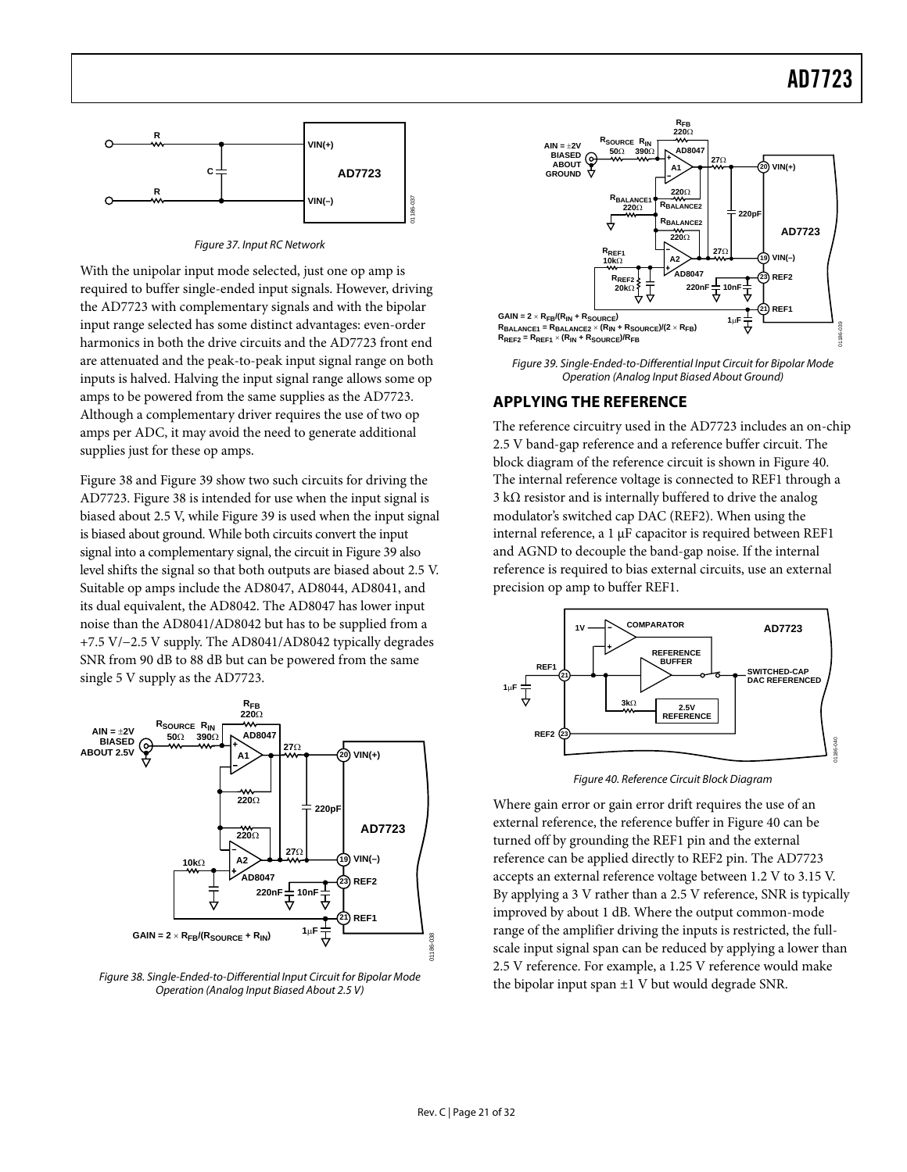<span id="page-20-1"></span><span id="page-20-0"></span>

Figure 37. Input RC Network

With the unipolar input mode selected, just one op amp is required to buffer single-ended input signals. However, driving the AD7723 with complementary signals and with the bipolar input range selected has some distinct advantages: even-order harmonics in both the drive circuits and the AD7723 front end are attenuated and the peak-to-peak input signal range on both inputs is halved. Halving the input signal range allows some op amps to be powered from the same supplies as the AD7723. Although a complementary driver requires the use of two op amps per ADC, it may avoid the need to generate additional supplies just for these op amps.

[Figure 38 a](#page-20-2)nd [Figure 39 s](#page-20-3)how two such circuits for driving the AD7723. [Figure 38 i](#page-20-2)s intended for use when the input signal is biased about 2.5 V, while [Figure](#page-20-3) 39 is used when the input signal is biased about ground. While both circuits convert the input signal into a complementary signal, the circuit in [Figure](#page-20-3) 39 also level shifts the signal so that both outputs are biased about 2.5 V. Suitable op amps include the AD8047, AD8044, AD8041, and its dual equivalent, the AD8042. The AD8047 has lower input noise than the AD8041/AD8042 but has to be supplied from a +7.5 V/−2.5 V supply. The AD8041/AD8042 typically degrades SNR from 90 dB to 88 dB but can be powered from the same single 5 V supply as the AD7723.

<span id="page-20-2"></span>

Figure 38. Single-Ended-to-Differential Input Circuit for Bipolar Mode Operation (Analog Input Biased About 2.5 V)

<span id="page-20-3"></span>

Figure 39. Single-Ended-to-Differential Input Circuit for Bipolar Mode Operation (Analog Input Biased About Ground)

#### **APPLYING THE REFERENCE**

The reference circuitry used in the AD7723 includes an on-chip 2.5 V band-gap reference and a reference buffer circuit. The block diagram of the reference circuit is shown in [Figure 40.](#page-20-4) The internal reference voltage is connected to REF1 through a 3 kΩ resistor and is internally buffered to drive the analog modulator's switched cap DAC (REF2). When using the internal reference, a 1 µF capacitor is required between REF1 and AGND to decouple the band-gap noise. If the internal reference is required to bias external circuits, use an external precision op amp to buffer REF1.

<span id="page-20-4"></span>

Figure 40. Reference Circuit Block Diagram

Where gain error or gain error drift requires the use of an external reference, the reference buffer in [Figure 40 c](#page-20-4)an be turned off by grounding the REF1 pin and the external reference can be applied directly to REF2 pin. The AD7723 accepts an external reference voltage between 1.2 V to 3.15 V. By applying a 3 V rather than a 2.5 V reference, SNR is typically improved by about 1 dB. Where the output common-mode range of the amplifier driving the inputs is restricted, the fullscale input signal span can be reduced by applying a lower than 2.5 V reference. For example, a 1.25 V reference would make the bipolar input span  $\pm 1$  V but would degrade SNR.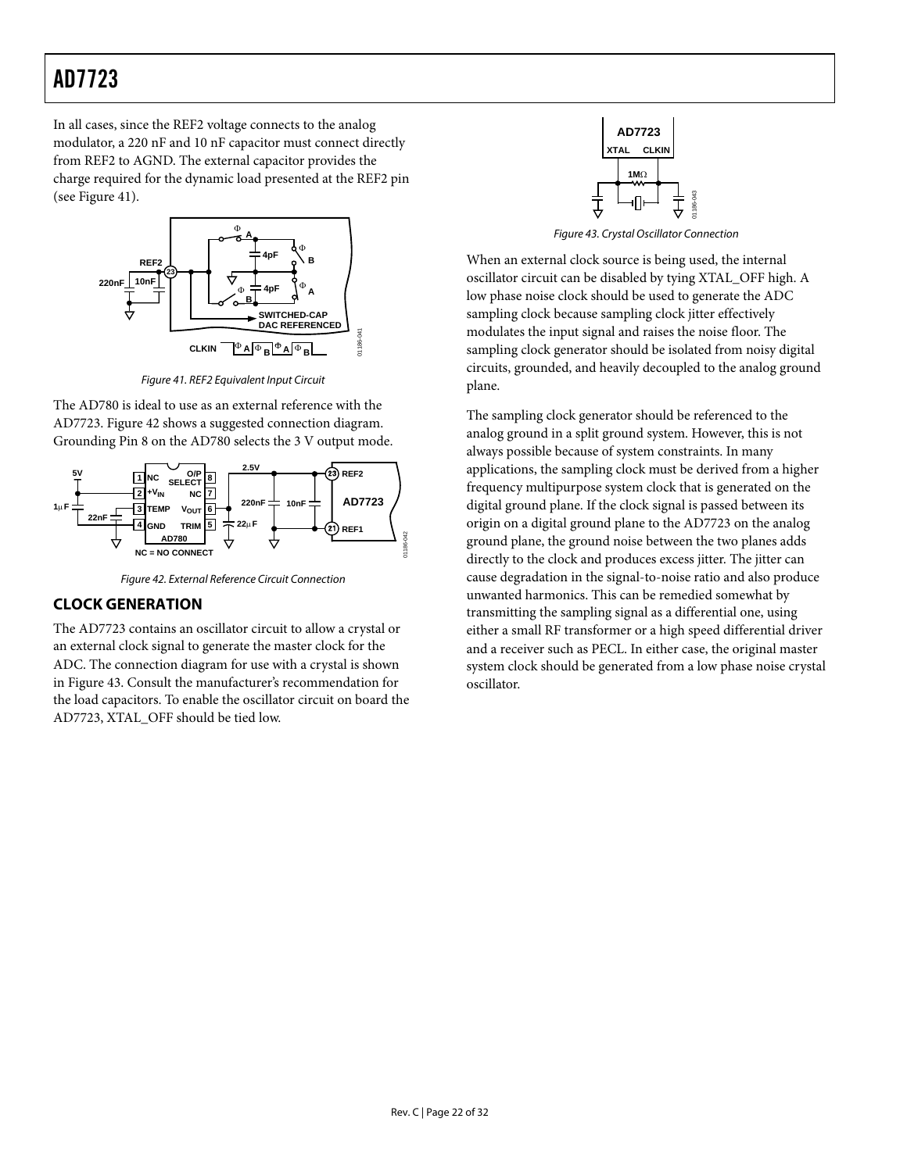<span id="page-21-0"></span>In all cases, since the REF2 voltage connects to the analog modulator, a 220 nF and 10 nF capacitor must connect directly from REF2 to AGND. The external capacitor provides the charge required for the dynamic load presented at the REF2 pin (see [Figure 41\)](#page-21-1).

<span id="page-21-1"></span>

Figure 41. REF2 Equivalent Input Circuit<br>plane.

The AD780 is ideal to use as an external reference with the AD7723. [Figure 42 s](#page-21-2)hows a suggested connection diagram. Grounding Pin 8 on the AD780 selects the 3 V output mode.

<span id="page-21-2"></span>

Figure 42. External Reference Circuit Connection

#### **CLOCK GENERATION**

The AD7723 contains an oscillator circuit to allow a crystal or an external clock signal to generate the master clock for the ADC. The connection diagram for use with a crystal is shown in [Figure 43.](#page-21-3) Consult the manufacturer's recommendation for the load capacitors. To enable the oscillator circuit on board the AD7723, XTAL\_OFF should be tied low.

<span id="page-21-3"></span>

Figure 43. Crystal Oscillator Connection

When an external clock source is being used, the internal oscillator circuit can be disabled by tying XTAL\_OFF high. A low phase noise clock should be used to generate the ADC sampling clock because sampling clock jitter effectively modulates the input signal and raises the noise floor. The sampling clock generator should be isolated from noisy digital circuits, grounded, and heavily decoupled to the analog ground

The sampling clock generator should be referenced to the analog ground in a split ground system. However, this is not always possible because of system constraints. In many applications, the sampling clock must be derived from a higher frequency multipurpose system clock that is generated on the digital ground plane. If the clock signal is passed between its origin on a digital ground plane to the AD7723 on the analog ground plane, the ground noise between the two planes adds directly to the clock and produces excess jitter. The jitter can cause degradation in the signal-to-noise ratio and also produce unwanted harmonics. This can be remedied somewhat by transmitting the sampling signal as a differential one, using either a small RF transformer or a high speed differential driver and a receiver such as PECL. In either case, the original master system clock should be generated from a low phase noise crystal oscillator.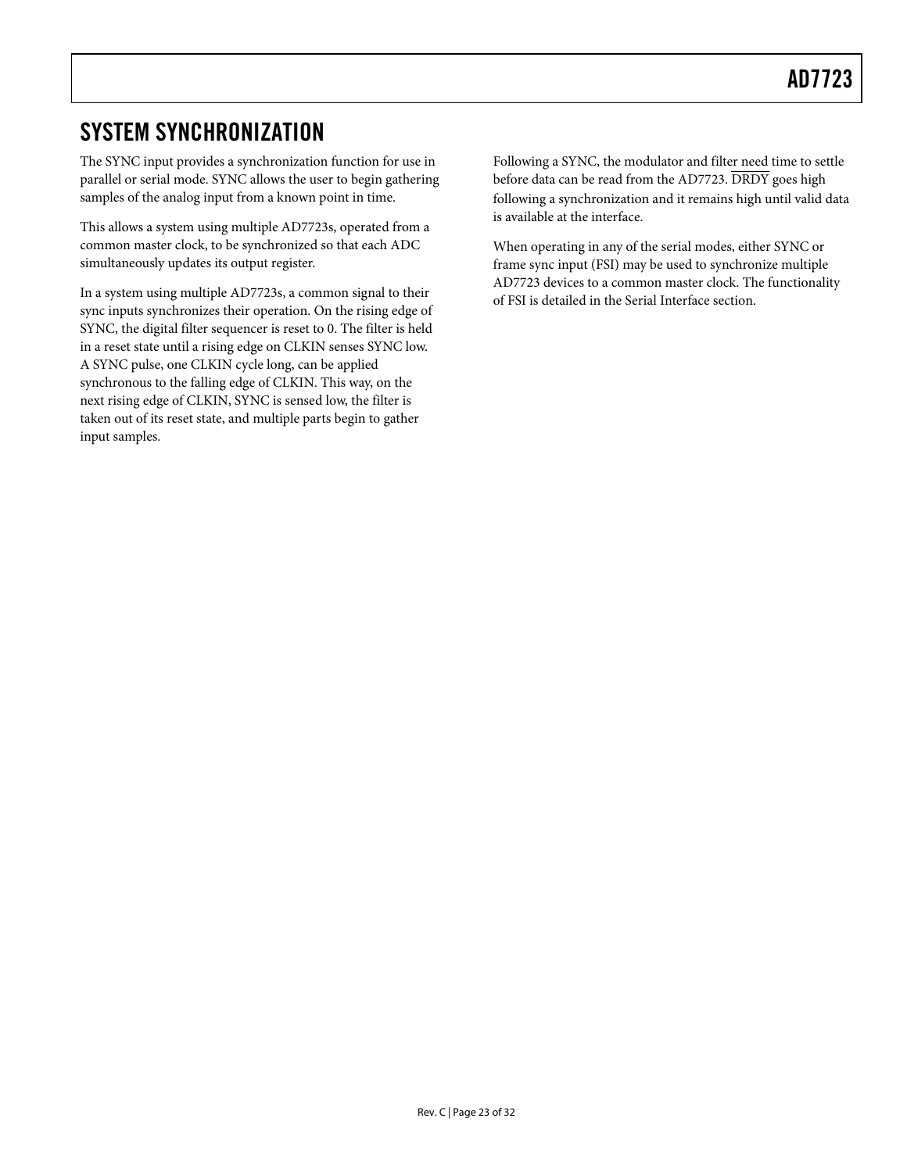### <span id="page-22-0"></span>SYSTEM SYNCHRONIZATION

The SYNC input provides a synchronization function for use in parallel or serial mode. SYNC allows the user to begin gathering samples of the analog input from a known point in time.

This allows a system using multiple AD7723s, operated from a common master clock, to be synchronized so that each ADC simultaneously updates its output register.

In a system using multiple AD7723s, a common signal to their sync inputs synchronizes their operation. On the rising edge of SYNC, the digital filter sequencer is reset to 0. The filter is held in a reset state until a rising edge on CLKIN senses SYNC low. A SYNC pulse, one CLKIN cycle long, can be applied synchronous to the falling edge of CLKIN. This way, on the next rising edge of CLKIN, SYNC is sensed low, the filter is taken out of its reset state, and multiple parts begin to gather input samples.

Following a SYNC, the modulator and filter need time to settle before data can be read from the AD7723. DRDY goes high following a synchronization and it remains high until valid data is available at the interface.

When operating in any of the serial modes, either SYNC or frame sync input (FSI) may be used to synchronize multiple AD7723 devices to a common master clock. The functionality of FSI is detailed in the [Serial Interface s](#page-24-1)ection.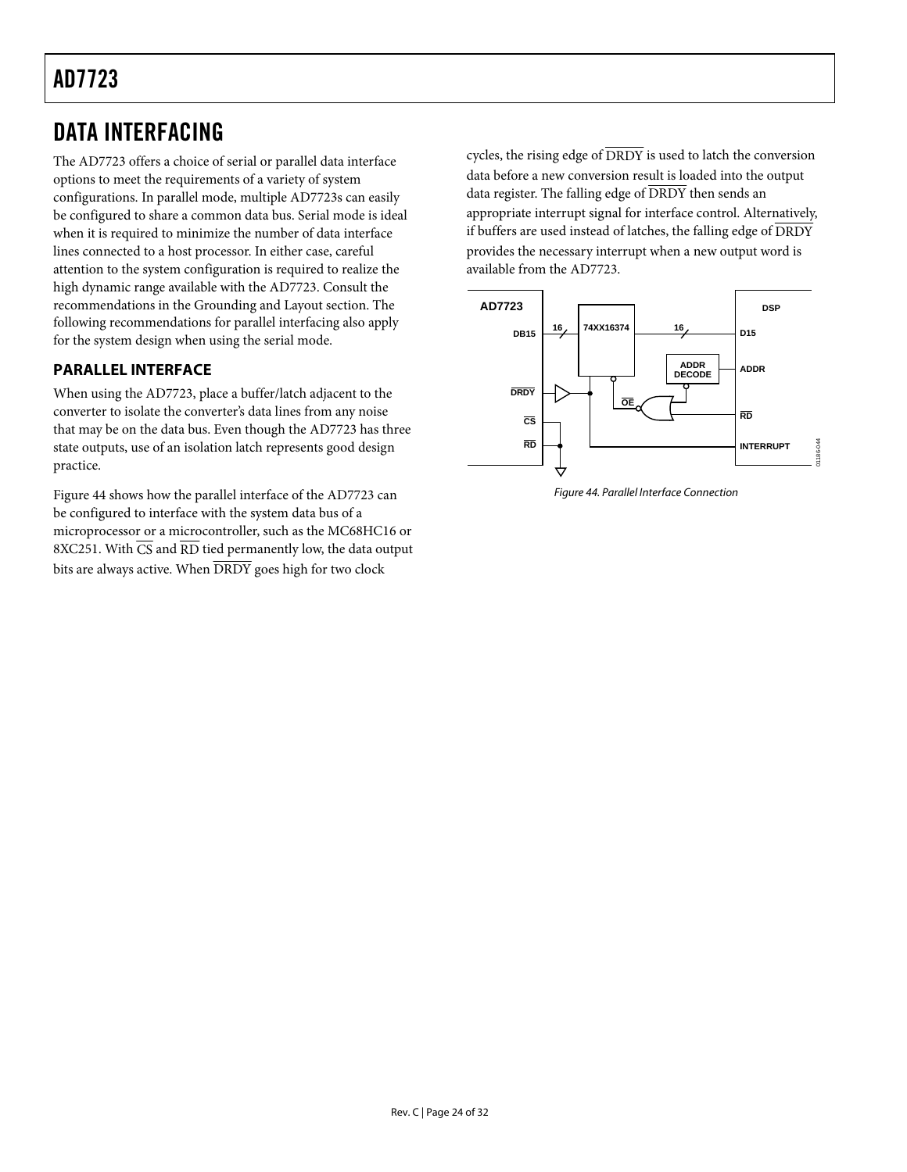### <span id="page-23-0"></span>DATA INTERFACING

The AD7723 offers a choice of serial or parallel data interface options to meet the requirements of a variety of system configurations. In parallel mode, multiple AD7723s can easily be configured to share a common data bus. Serial mode is ideal when it is required to minimize the number of data interface lines connected to a host processor. In either case, careful attention to the system configuration is required to realize the high dynamic range available with the AD7723. Consult the recommendations in the [Grounding and Layout s](#page-27-1)ection. The following recommendations for parallel interfacing also apply for the system design when using the serial mode.

#### **PARALLEL INTERFACE**

When using the AD7723, place a buffer/latch adjacent to the converter to isolate the converter's data lines from any noise that may be on the data bus. Even though the AD7723 has three state outputs, use of an isolation latch represents good design practice.

[Figure 44 s](#page-23-1)hows how the parallel interface of the AD7723 can be configured to interface with the system data bus of a microprocessor or a microcontroller, such as the MC68HC16 or 8XC251. With  $\overline{\text{CS}}$  and  $\overline{\text{RD}}$  tied permanently low, the data output bits are always active. When  $\overline{DRDY}$  goes high for two clock

cycles, the rising edge of  $\overline{\text{DRDY}}$  is used to latch the conversion data before a new conversion result is loaded into the output data register. The falling edge of  $\overline{DRDY}$  then sends an appropriate interrupt signal for interface control. Alternatively, if buffers are used instead of latches, the falling edge of  $\overline{\rm DRDY}$ provides the necessary interrupt when a new output word is available from the AD7723.

<span id="page-23-1"></span>

Figure 44. Parallel Interface Connection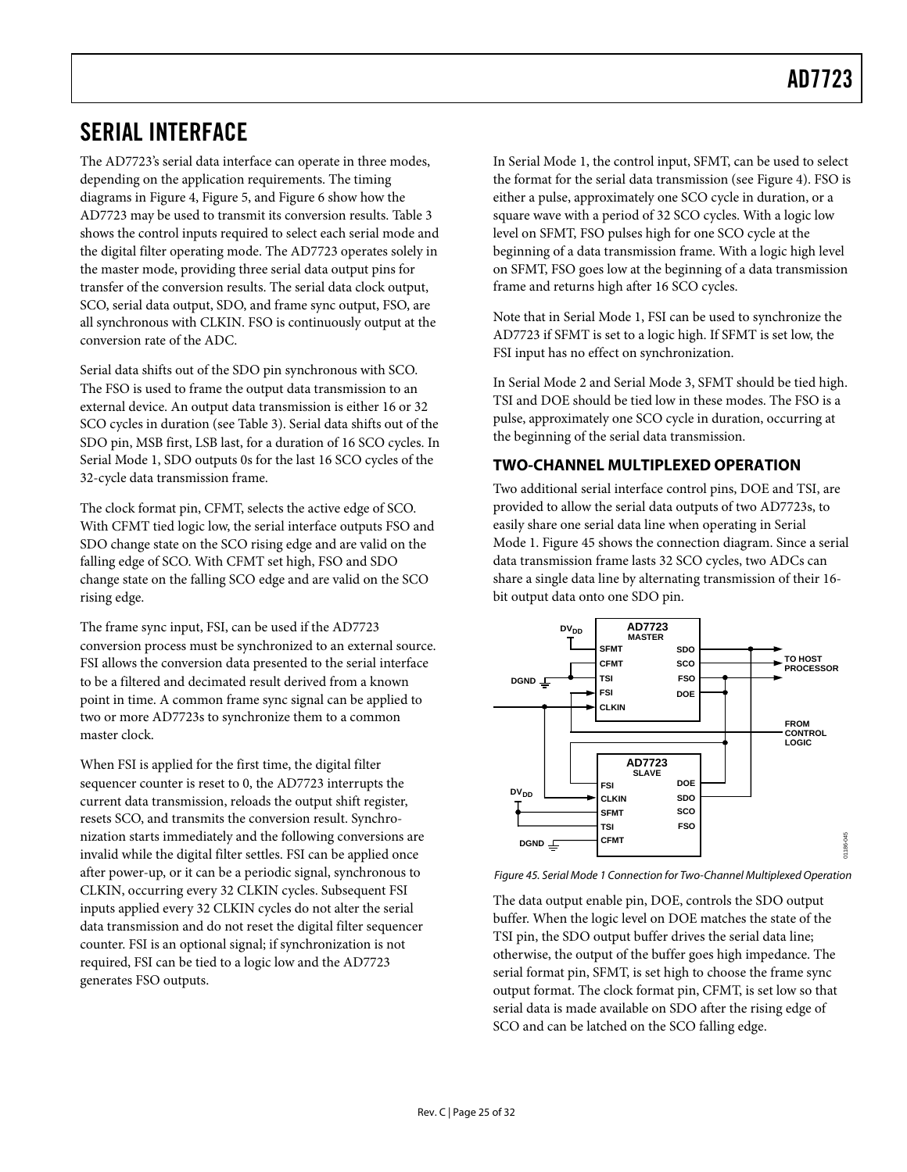### <span id="page-24-1"></span><span id="page-24-0"></span>SERIAL INTERFACE

The AD7723's serial data interface can operate in three modes, depending on the application requirements. The timing diagrams in [Figure 4,](#page-6-0) [Figure 5,](#page-6-1) and [Figure 6](#page-7-2) show how the AD7723 may be used to transmit its conversion results. [Table 3](#page-7-0)  shows the control inputs required to select each serial mode and the digital filter operating mode. The AD7723 operates solely in the master mode, providing three serial data output pins for transfer of the conversion results. The serial data clock output, SCO, serial data output, SDO, and frame sync output, FSO, are all synchronous with CLKIN. FSO is continuously output at the conversion rate of the ADC.

Serial data shifts out of the SDO pin synchronous with SCO. The FSO is used to frame the output data transmission to an external device. An output data transmission is either 16 or 32 SCO cycles in duration (see [Table 3\)](#page-7-0). Serial data shifts out of the SDO pin, MSB first, LSB last, for a duration of 16 SCO cycles. In Serial Mode 1, SDO outputs 0s for the last 16 SCO cycles of the 32-cycle data transmission frame.

The clock format pin, CFMT, selects the active edge of SCO. With CFMT tied logic low, the serial interface outputs FSO and SDO change state on the SCO rising edge and are valid on the falling edge of SCO. With CFMT set high, FSO and SDO change state on the falling SCO edge and are valid on the SCO rising edge.

The frame sync input, FSI, can be used if the AD7723 conversion process must be synchronized to an external source. FSI allows the conversion data presented to the serial interface to be a filtered and decimated result derived from a known point in time. A common frame sync signal can be applied to two or more AD7723s to synchronize them to a common master clock.

When FSI is applied for the first time, the digital filter sequencer counter is reset to 0, the AD7723 interrupts the current data transmission, reloads the output shift register, resets SCO, and transmits the conversion result. Synchronization starts immediately and the following conversions are invalid while the digital filter settles. FSI can be applied once after power-up, or it can be a periodic signal, synchronous to CLKIN, occurring every 32 CLKIN cycles. Subsequent FSI inputs applied every 32 CLKIN cycles do not alter the serial data transmission and do not reset the digital filter sequencer counter. FSI is an optional signal; if synchronization is not required, FSI can be tied to a logic low and the AD7723 generates FSO outputs.

In Serial Mode 1, the control input, SFMT, can be used to select the format for the serial data transmission (see [Figure 4\)](#page-6-0). FSO is either a pulse, approximately one SCO cycle in duration, or a square wave with a period of 32 SCO cycles. With a logic low level on SFMT, FSO pulses high for one SCO cycle at the beginning of a data transmission frame. With a logic high level on SFMT, FSO goes low at the beginning of a data transmission frame and returns high after 16 SCO cycles.

Note that in Serial Mode 1, FSI can be used to synchronize the AD7723 if SFMT is set to a logic high. If SFMT is set low, the FSI input has no effect on synchronization.

In Serial Mode 2 and Serial Mode 3, SFMT should be tied high. TSI and DOE should be tied low in these modes. The FSO is a pulse, approximately one SCO cycle in duration, occurring at the beginning of the serial data transmission.

#### **TWO-CHANNEL MULTIPLEXED OPERATION**

Two additional serial interface control pins, DOE and TSI, are provided to allow the serial data outputs of two AD7723s, to easily share one serial data line when operating in Serial Mode 1. [Figure](#page-24-2) 45 shows the connection diagram. Since a serial data transmission frame lasts 32 SCO cycles, two ADCs can share a single data line by alternating transmission of their 16 bit output data onto one SDO pin.

<span id="page-24-2"></span>

Figure 45. Serial Mode 1 Connection for Two-Channel Multiplexed Operation

The data output enable pin, DOE, controls the SDO output buffer. When the logic level on DOE matches the state of the TSI pin, the SDO output buffer drives the serial data line; otherwise, the output of the buffer goes high impedance. The serial format pin, SFMT, is set high to choose the frame sync output format. The clock format pin, CFMT, is set low so that serial data is made available on SDO after the rising edge of SCO and can be latched on the SCO falling edge.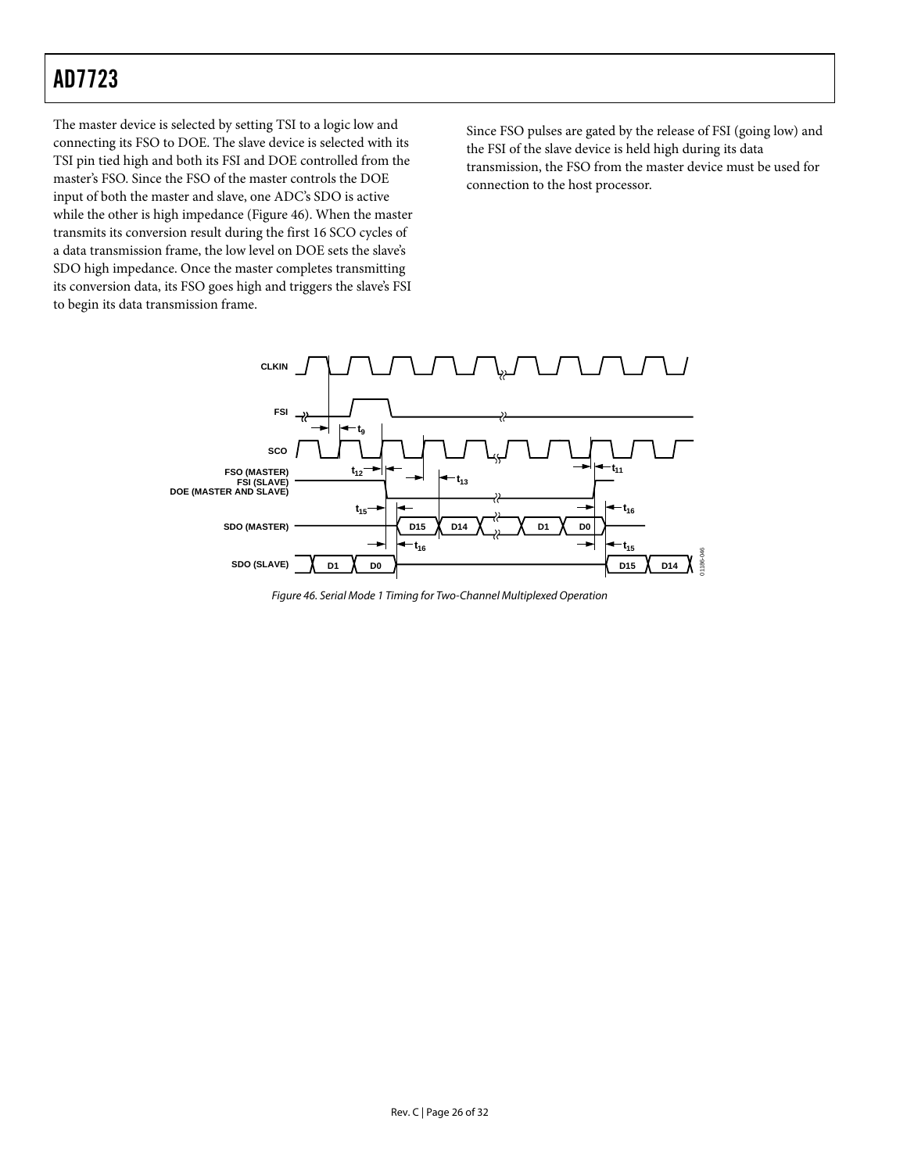The master device is selected by setting TSI to a logic low and connecting its FSO to DOE. The slave device is selected with its TSI pin tied high and both its FSI and DOE controlled from the master's FSO. Since the FSO of the master controls the DOE input of both the master and slave, one ADC's SDO is active while the other is high impedance [\(Figure 46\)](#page-25-0). When the master transmits its conversion result during the first 16 SCO cycles of a data transmission frame, the low level on DOE sets the slave's SDO high impedance. Once the master completes transmitting its conversion data, its FSO goes high and triggers the slave's FSI to begin its data transmission frame.

Since FSO pulses are gated by the release of FSI (going low) and the FSI of the slave device is held high during its data transmission, the FSO from the master device must be used for connection to the host processor.

<span id="page-25-0"></span>

Figure 46. Serial Mode 1 Timing for Two-Channel Multiplexed Operation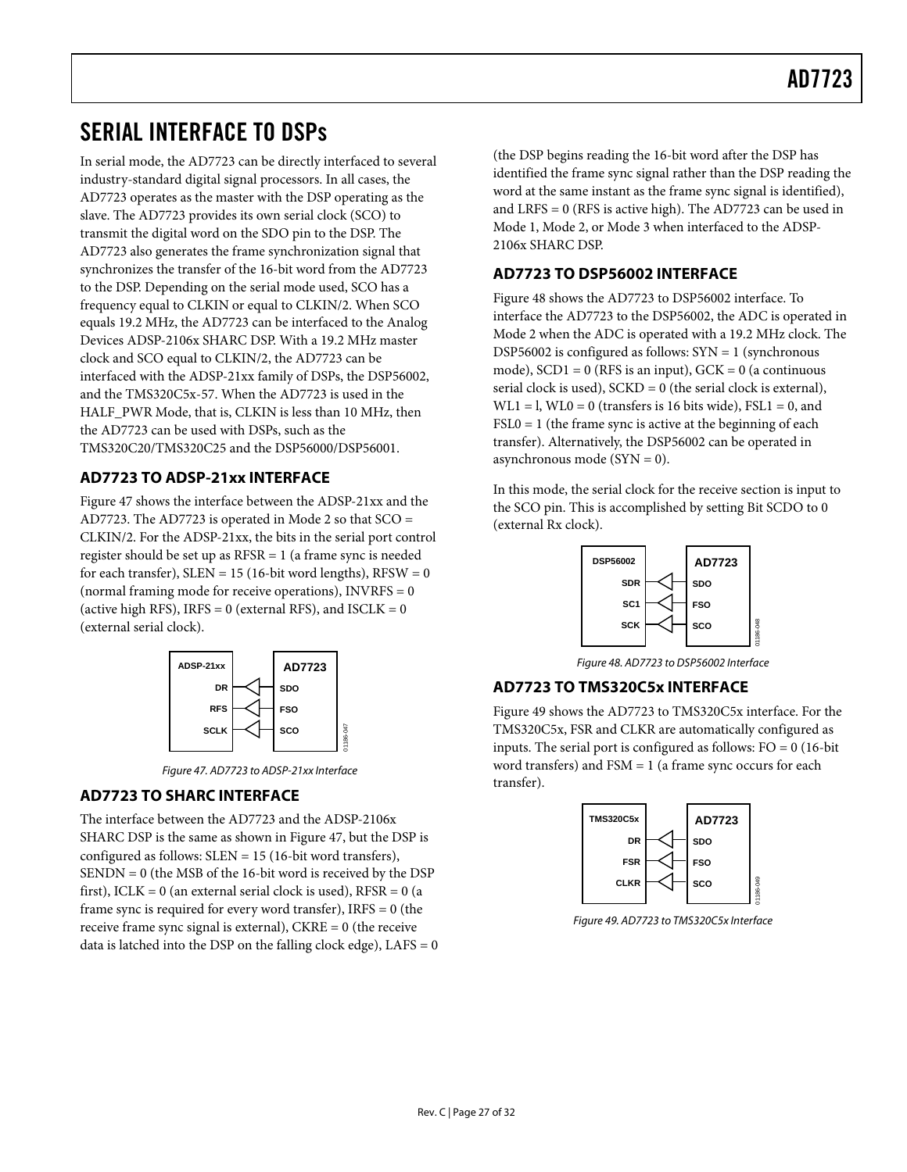### <span id="page-26-0"></span>SERIAL INTERFACE TO DSPs

In serial mode, the AD7723 can be directly interfaced to several industry-standard digital signal processors. In all cases, the AD7723 operates as the master with the DSP operating as the slave. The AD7723 provides its own serial clock (SCO) to transmit the digital word on the SDO pin to the DSP. The AD7723 also generates the frame synchronization signal that synchronizes the transfer of the 16-bit word from the AD7723 to the DSP. Depending on the serial mode used, SCO has a frequency equal to CLKIN or equal to CLKIN/2. When SCO equals 19.2 MHz, the AD7723 can be interfaced to the Analog Devices ADSP-2106x SHARC DSP. With a 19.2 MHz master clock and SCO equal to CLKIN/2, the AD7723 can be interfaced with the ADSP-21xx family of DSPs, the DSP56002, and the TMS320C5x-57. When the AD7723 is used in the HALF\_PWR Mode, that is, CLKIN is less than 10 MHz, then the AD7723 can be used with DSPs, such as the TMS320C20/TMS320C25 and the DSP56000/DSP56001.

#### **AD7723 TO ADSP-21xx INTERFACE**

[Figure 47 s](#page-26-1)hows the interface between the ADSP-21xx and the AD7723. The AD7723 is operated in Mode 2 so that SCO = CLKIN/2. For the ADSP-21xx, the bits in the serial port control register should be set up as RFSR = 1 (a frame sync is needed for each transfer),  $SLEN = 15$  (16-bit word lengths),  $RFSW = 0$ (normal framing mode for receive operations), INVRFS = 0 (active high RFS), IRFS = 0 (external RFS), and  $ISCLK = 0$ (external serial clock).

<span id="page-26-1"></span>

Figure 47. AD7723 to ADSP-21xx Interface

#### **AD7723 TO SHARC INTERFACE**

The interface between the AD7723 and the ADSP-2106x SHARC DSP is the same as shown in [Figure 47,](#page-26-1) but the DSP is configured as follows: SLEN = 15 (16-bit word transfers), SENDN = 0 (the MSB of the 16-bit word is received by the DSP first), ICLK = 0 (an external serial clock is used),  $RFSR = 0$  (a frame sync is required for every word transfer),  $IRFS = 0$  (the receive frame sync signal is external), CKRE = 0 (the receive data is latched into the DSP on the falling clock edge),  $LAFS = 0$  (the DSP begins reading the 16-bit word after the DSP has identified the frame sync signal rather than the DSP reading the word at the same instant as the frame sync signal is identified), and LRFS = 0 (RFS is active high). The AD7723 can be used in Mode 1, Mode 2, or Mode 3 when interfaced to the ADSP-2106x SHARC DSP.

#### **AD7723 TO DSP56002 INTERFACE**

[Figure 48 s](#page-26-2)hows the AD7723 to DSP56002 interface. To interface the AD7723 to the DSP56002, the ADC is operated in Mode 2 when the ADC is operated with a 19.2 MHz clock. The DSP56002 is configured as follows:  $SYN = 1$  (synchronous) mode),  $SCD1 = 0$  (RFS is an input),  $GCK = 0$  (a continuous serial clock is used),  $SCKD = 0$  (the serial clock is external),  $WL1 = I$ ,  $WL0 = 0$  (transfers is 16 bits wide),  $FSL1 = 0$ , and  $\text{FSL0} = 1$  (the frame sync is active at the beginning of each transfer). Alternatively, the DSP56002 can be operated in asynchronous mode ( $SYN = 0$ ).

In this mode, the serial clock for the receive section is input to the SCO pin. This is accomplished by setting Bit SCDO to 0 (external Rx clock).

<span id="page-26-2"></span>

Figure 48. AD7723 to DSP56002 Interface

#### **AD7723 TO TMS320C5x INTERFACE**

[Figure 49 s](#page-26-3)hows the AD7723 to TMS320C5x interface. For the TMS320C5x, FSR and CLKR are automatically configured as inputs. The serial port is configured as follows: FO = 0 (16-bit word transfers) and FSM = 1 (a frame sync occurs for each transfer).

<span id="page-26-3"></span>

Figure 49. AD7723 to TMS320C5x Interface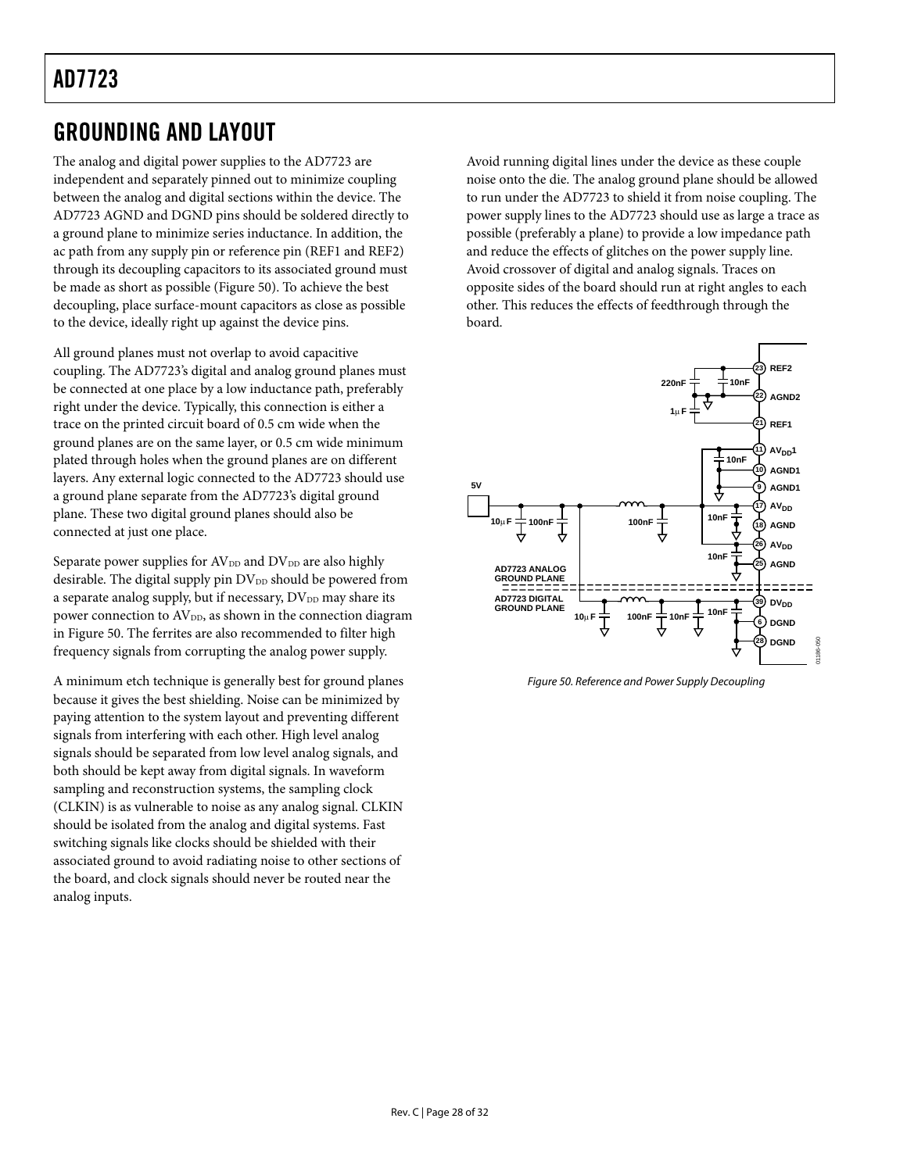### <span id="page-27-1"></span><span id="page-27-0"></span>GROUNDING AND LAYOUT

The analog and digital power supplies to the AD7723 are independent and separately pinned out to minimize coupling between the analog and digital sections within the device. The AD7723 AGND and DGND pins should be soldered directly to a ground plane to minimize series inductance. In addition, the ac path from any supply pin or reference pin (REF1 and REF2) through its decoupling capacitors to its associated ground must be made as short as possible ([Figure 50\)](#page-27-2). To achieve the best decoupling, place surface-mount capacitors as close as possible to the device, ideally right up against the device pins.

All ground planes must not overlap to avoid capacitive coupling. The AD7723's digital and analog ground planes must be connected at one place by a low inductance path, preferably right under the device. Typically, this connection is either a trace on the printed circuit board of 0.5 cm wide when the ground planes are on the same layer, or 0.5 cm wide minimum plated through holes when the ground planes are on different layers. Any external logic connected to the AD7723 should use a ground plane separate from the AD7723's digital ground plane. These two digital ground planes should also be connected at just one place.

Separate power supplies for AV<sub>DD</sub> and DV<sub>DD</sub> are also highly desirable. The digital supply pin  $DV_{DD}$  should be powered from a separate analog supply, but if necessary,  $DV_{DD}$  may share its power connection to AV<sub>DD</sub>, as shown in the connection diagram in [Figure 50.](#page-27-2) The ferrites are also recommended to filter high frequency signals from corrupting the analog power supply.

A minimum etch technique is generally best for ground planes because it gives the best shielding. Noise can be minimized by paying attention to the system layout and preventing different signals from interfering with each other. High level analog signals should be separated from low level analog signals, and both should be kept away from digital signals. In waveform sampling and reconstruction systems, the sampling clock (CLKIN) is as vulnerable to noise as any analog signal. CLKIN should be isolated from the analog and digital systems. Fast switching signals like clocks should be shielded with their associated ground to avoid radiating noise to other sections of the board, and clock signals should never be routed near the analog inputs.

Avoid running digital lines under the device as these couple noise onto the die. The analog ground plane should be allowed to run under the AD7723 to shield it from noise coupling. The power supply lines to the AD7723 should use as large a trace as possible (preferably a plane) to provide a low impedance path and reduce the effects of glitches on the power supply line. Avoid crossover of digital and analog signals. Traces on opposite sides of the board should run at right angles to each other. This reduces the effects of feedthrough through the board.

<span id="page-27-2"></span>

Figure 50. Reference and Power Supply Decoupling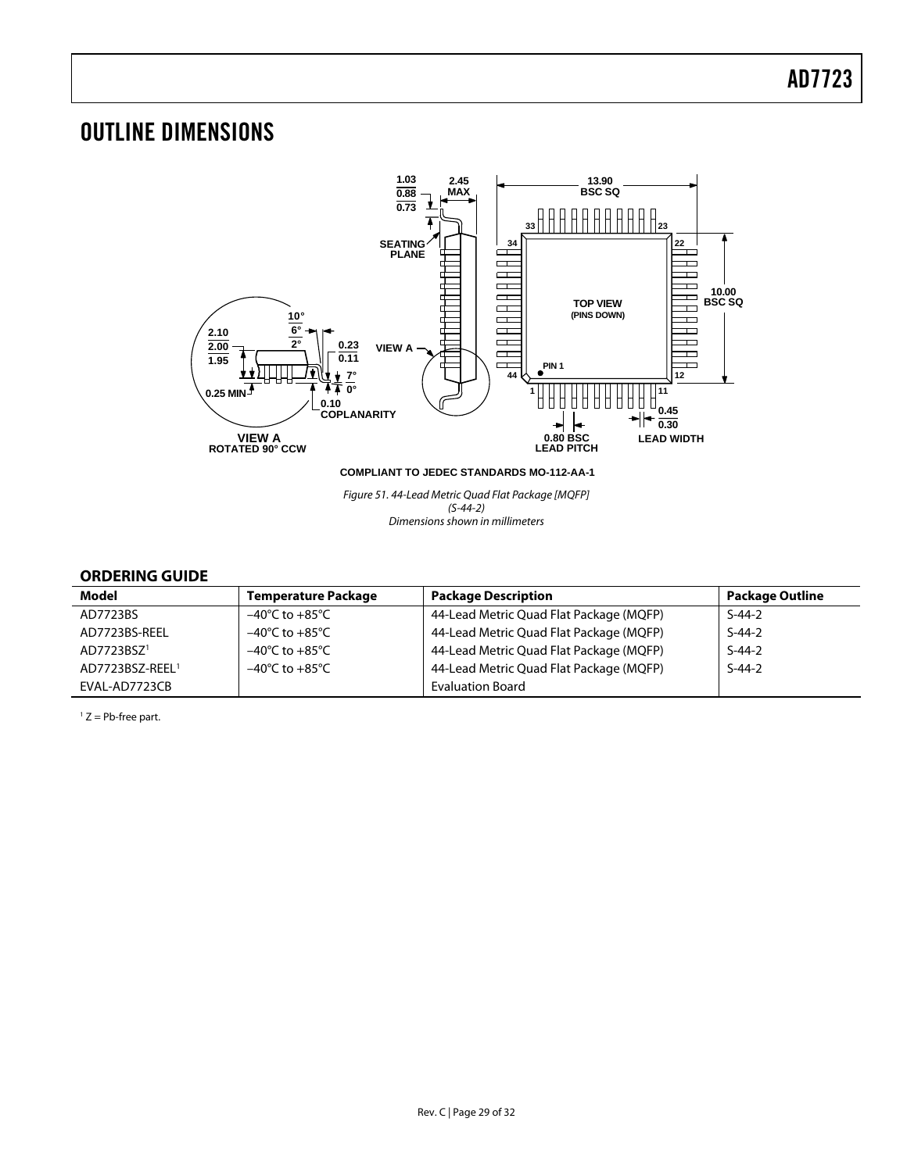### <span id="page-28-0"></span>OUTLINE DIMENSIONS



Figure 51. 44-Lead Metric Quad Flat Package [MQFP] (S-44-2) Dimensions shown in millimeters

#### **ORDERING GUIDE**

<span id="page-28-1"></span>

| Model                       | <b>Temperature Package</b>         | <b>Package Description</b>              | <b>Package Outline</b> |
|-----------------------------|------------------------------------|-----------------------------------------|------------------------|
| AD7723BS                    | $-40^{\circ}$ C to $+85^{\circ}$ C | 44-Lead Metric Quad Flat Package (MQFP) | $S-44-2$               |
| AD7723BS-REEL               | $-40^{\circ}$ C to $+85^{\circ}$ C | 44-Lead Metric Quad Flat Package (MQFP) | $S-44-2$               |
| AD7723BSZ <sup>1</sup>      | $-40^{\circ}$ C to $+85^{\circ}$ C | 44-Lead Metric Quad Flat Package (MQFP) | $S-44-2$               |
| AD7723BSZ-REEL <sup>1</sup> | $-40^{\circ}$ C to $+85^{\circ}$ C | 44-Lead Metric Quad Flat Package (MQFP) | $S-44-2$               |
| EVAL-AD7723CB               |                                    | <b>Evaluation Board</b>                 |                        |

<span id="page-28-2"></span> $1 Z = Pb$ -free part.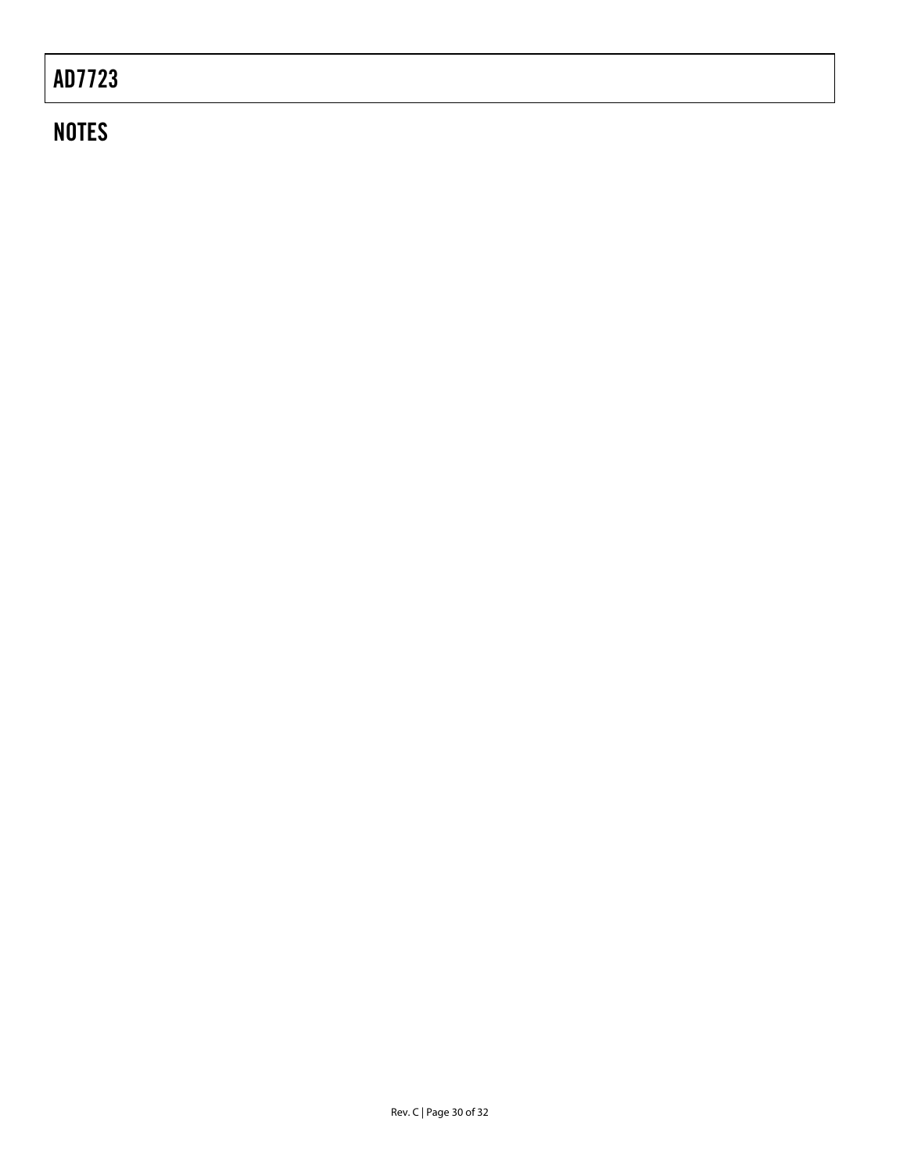## **NOTES**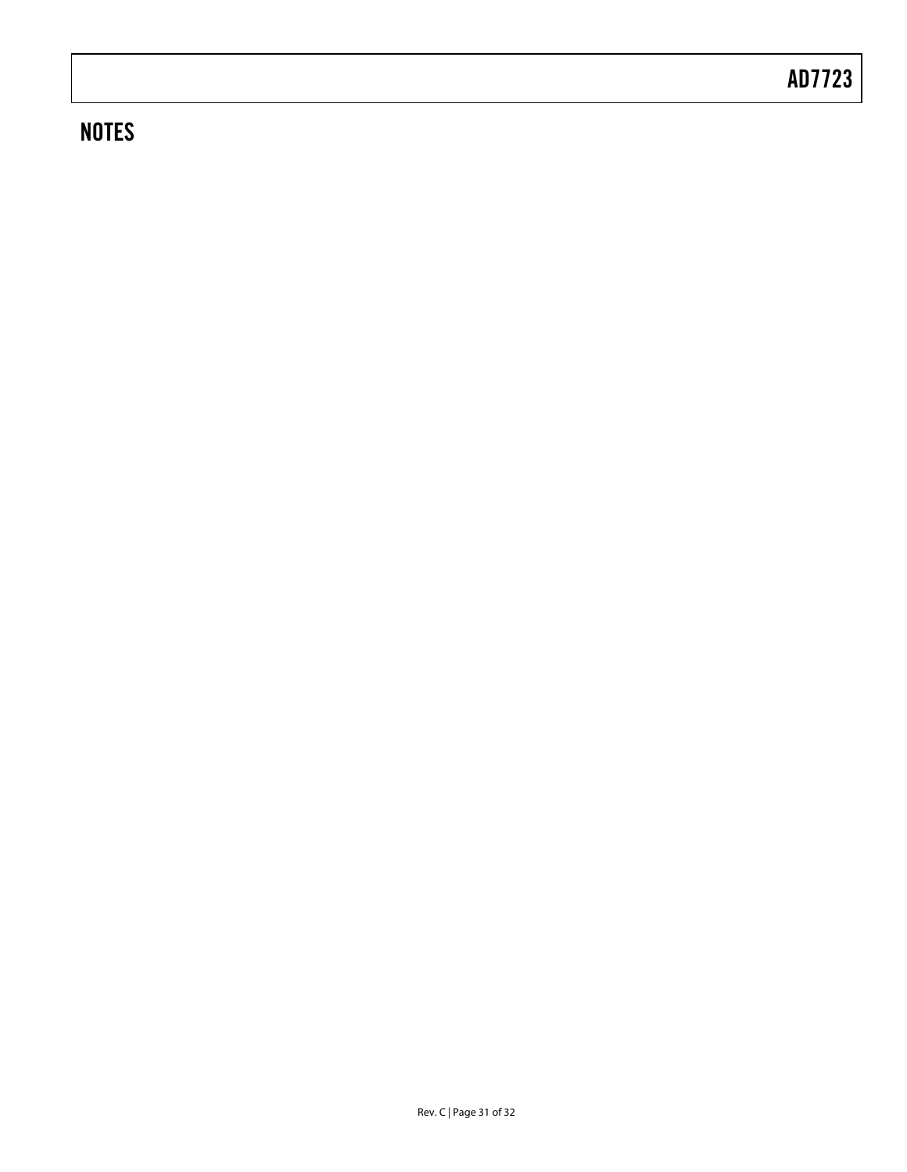### **NOTES**